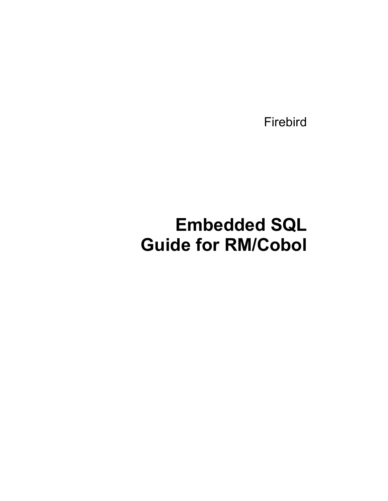Firebird

# **Embedded SQL Guide for RM/Cobol**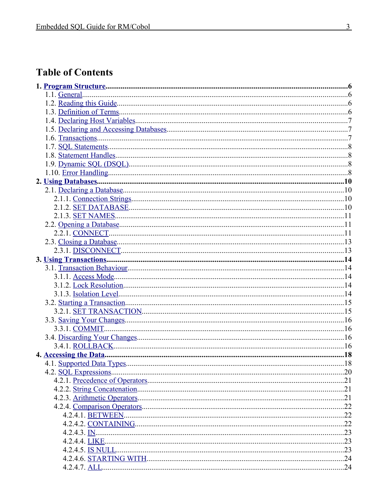# **Table of Contents**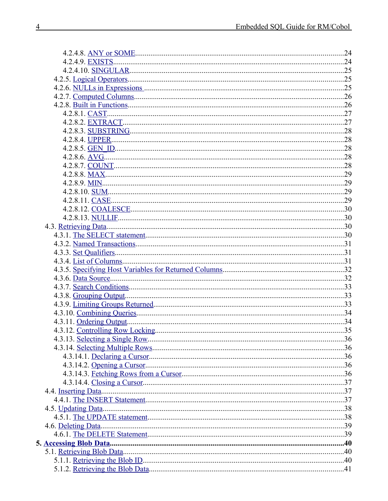| 4.3.12. Controlling Row Locking. | .35 |
|----------------------------------|-----|
|                                  |     |
|                                  |     |
|                                  |     |
|                                  |     |
|                                  |     |
|                                  |     |
|                                  |     |
|                                  |     |
|                                  |     |
|                                  |     |
|                                  |     |
|                                  |     |
|                                  |     |
|                                  |     |
|                                  |     |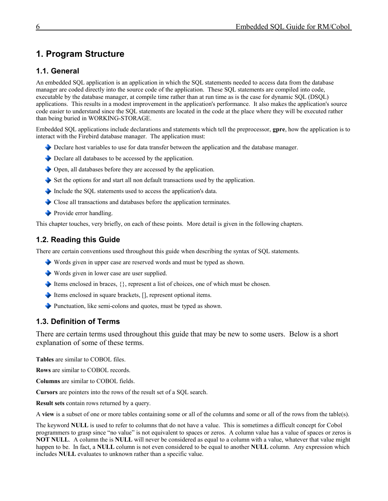# <span id="page-5-0"></span>**1. Program Structure**

# <span id="page-5-3"></span>**1.1. General**

An embedded SQL application is an application in which the SQL statements needed to access data from the database manager are coded directly into the source code of the application. These SQL statements are compiled into code, executable by the database manager, at compile time rather than at run time as is the case for dynamic SQL (DSQL) applications. This results in a modest improvement in the application's performance. It also makes the application's source code easier to understand since the SQL statements are located in the code at the place where they will be executed rather than being buried in WORKING-STORAGE.

Embedded SQL applications include declarations and statements which tell the preprocessor, **gpre**, how the application is to interact with the Firebird database manager. The application must:

- Declare host variables to use for data transfer between the application and the database manager.
- Declare all databases to be accessed by the application.
- Open, all databases before they are accessed by the application.
- $\blacktriangleright$  Set the options for and start all non default transactions used by the application.
- Include the SQL statements used to access the application's data.
- Close all transactions and databases before the application terminates.
- Provide error handling.

This chapter touches, very briefly, on each of these points. More detail is given in the following chapters.

# <span id="page-5-2"></span>**1.2. Reading this Guide**

There are certain conventions used throughout this guide when describing the syntax of SQL statements.

- Words given in upper case are reserved words and must be typed as shown.
- Words given in lower case are user supplied.
- Items enclosed in braces,  $\{\}$ , represent a list of choices, one of which must be chosen.
- Items enclosed in square brackets, [], represent optional items.
- Punctuation, like semi-colons and quotes, must be typed as shown.

# <span id="page-5-1"></span>**1.3. Definition of Terms**

There are certain terms used throughout this guide that may be new to some users. Below is a short explanation of some of these terms.

**Tables** are similar to COBOL files.

**Rows** are similar to COBOL records.

**Columns** are similar to COBOL fields.

**Cursors** are pointers into the rows of the result set of a SQL search.

**Result sets** contain rows returned by a query.

A **view** is a subset of one or more tables containing some or all of the columns and some or all of the rows from the table(s).

The keyword **NULL** is used to refer to columns that do not have a value. This is sometimes a difficult concept for Cobol programmers to grasp since "no value" is not equivalent to spaces or zeros. A column value has a value of spaces or zeros is **NOT NULL**. A column the is **NULL** will never be considered as equal to a column with a value, whatever that value might happen to be. In fact, a **NULL** column is not even considered to be equal to another **NULL** column. Any expression which includes **NULL** evaluates to unknown rather than a specific value.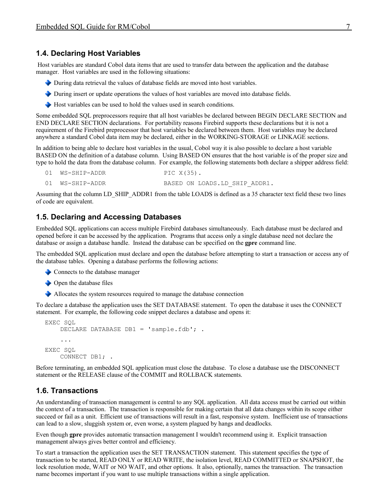### <span id="page-6-2"></span>**1.4. Declaring Host Variables**

 Host variables are standard Cobol data items that are used to transfer data between the application and the database manager. Host variables are used in the following situations:

- During data retrieval the values of database fields are moved into host variables.
- During insert or update operations the values of host variables are moved into database fields.
- Host variables can be used to hold the values used in search conditions.

Some embedded SQL preprocessors require that all host variables be declared between BEGIN DECLARE SECTION and END DECLARE SECTION declarations. For portability reasons Firebird supports these declarations but it is not a requirement of the Firebird preprocessor that host variables be declared between them. Host variables may be declared anywhere a standard Cobol data item may be declared, either in the WORKING-STORAGE or LINKAGE sections.

In addition to being able to declare host variables in the usual, Cobol way it is also possible to declare a host variable BASED ON the definition of a database column. Using BASED ON ensures that the host variable is of the proper size and type to hold the data from the database column. For example, the following statements both declare a shipper address field:

```
01 WS-SHIP-ADDR PIC X(35).
01 WS-SHIP-ADDR BASED ON LOADS.LD SHIP ADDR1.
```
Assuming that the column LD\_SHIP\_ADDR1 from the table LOADS is defined as a 35 character text field these two lines of code are equivalent.

### <span id="page-6-1"></span>**1.5. Declaring and Accessing Databases**

Embedded SQL applications can access multiple Firebird databases simultaneously. Each database must be declared and opened before it can be accessed by the application. Programs that access only a single database need not declare the database or assign a database handle. Instead the database can be specified on the **gpre** command line.

The embedded SQL application must declare and open the database before attempting to start a transaction or access any of the database tables. Opening a database performs the following actions:

- Connects to the database manager
- **◆** Open the database files
- Allocates the system resources required to manage the database connection

To declare a database the application uses the SET DATABASE statement. To open the database it uses the CONNECT statement. For example, the following code snippet declares a database and opens it:

```
EXEC SQL
    DECLARE DATABASE DB1 = 'sample.fdb';.
 ...
EXEC SQL
     CONNECT DB1; .
```
Before terminating, an embedded SQL application must close the database. To close a database use the DISCONNECT statement or the RELEASE clause of the COMMIT and ROLLBACK statements.

# <span id="page-6-0"></span>**1.6. Transactions**

An understanding of transaction management is central to any SQL application. All data access must be carried out within the context of a transaction. The transaction is responsible for making certain that all data changes within its scope either succeed or fail as a unit. Efficient use of transactions will result in a fast, responsive system. Inefficient use of transactions can lead to a slow, sluggish system or, even worse, a system plagued by hangs and deadlocks.

Even though **gpre** provides automatic transaction management I wouldn't recommend using it. Explicit transaction management always gives better control and efficiency.

To start a transaction the application uses the SET TRANSACTION statement. This statement specifies the type of transaction to be started, READ ONLY or READ WRITE, the isolation level, READ COMMITTED or SNAPSHOT, the lock resolution mode, WAIT or NO WAIT, and other options. It also, optionally, names the transaction. The transaction name becomes important if you want to use multiple transactions within a single application.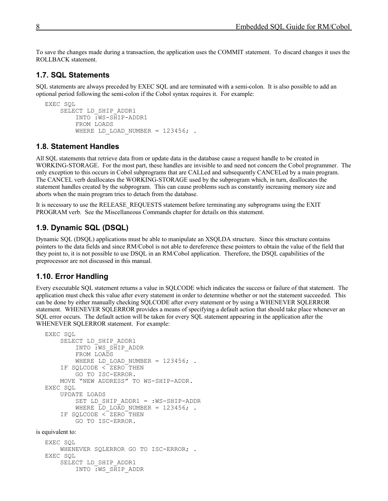To save the changes made during a transaction, the application uses the COMMIT statement. To discard changes it uses the ROLLBACK statement.

### <span id="page-7-3"></span>**1.7. SQL Statements**

SQL statements are always preceded by EXEC SQL and are terminated with a semi-colon. It is also possible to add an optional period following the semi-colon if the Cobol syntax requires it. For example:

```
EXEC SQL
     SELECT LD_SHIP_ADDR1
         INTO :WS-SHIP-ADDR1
         FROM LOADS
        WHERE LD LOAD NUMBER = 123456;.
```
#### <span id="page-7-2"></span>**1.8. Statement Handles**

All SQL statements that retrieve data from or update data in the database cause a request handle to be created in WORKING-STORAGE. For the most part, these handles are invisible to and need not concern the Cobol programmer. The only exception to this occurs in Cobol subprograms that are CALLed and subsequently CANCELed by a main program. The CANCEL verb deallocates the WORKING-STORAGE used by the subprogram which, in turn, deallocates the statement handles created by the subprogram. This can cause problems such as constantly increasing memory size and aborts when the main program tries to detach from the database.

It is necessary to use the RELEASE\_REQUESTS statement before terminating any subprograms using the EXIT PROGRAM verb. See the Miscellaneous Commands chapter for details on this statement.

# <span id="page-7-1"></span>**1.9. Dynamic SQL (DSQL)**

Dynamic SQL (DSQL) applications must be able to manipulate an XSQLDA structure. Since this structure contains pointers to the data fields and since RM/Cobol is not able to dereference these pointers to obtain the value of the field that they point to, it is not possible to use DSQL in an RM/Cobol application. Therefore, the DSQL capabilities of the preprocessor are not discussed in this manual.

#### <span id="page-7-0"></span>**1.10. Error Handling**

Every executable SQL statement returns a value in SQLCODE which indicates the success or failure of that statement. The application must check this value after every statement in order to determine whether or not the statement succeeded. This can be done by either manually checking SQLCODE after every statement or by using a WHENEVER SQLERROR statement. WHENEVER SQLERROR provides a means of specifying a default action that should take place whenever an SQL error occurs. The default action will be taken for every SQL statement appearing in the application after the WHENEVER SQLERROR statement. For example:

```
EXEC SQL
     SELECT LD_SHIP_ADDR1
         INTO :WS_SHIP_ADDR
         FROM LOADS
        WHERE LD LOAD NUMBER = 123456;.
     IF SQLCODE < ZERO THEN
         GO TO ISC-ERROR.
     MOVE "NEW ADDRESS" TO WS-SHIP-ADDR.
EXEC SOL
     UPDATE LOADS
        SET LD SHIP ADDR1 = :WS-SHIP-ADDR
        WHERE LD LOAD NUMBER = 123456;.
     IF SQLCODE < ZERO THEN
         GO TO ISC-ERROR.
```
is equivalent to:

EXEC SQL WHENEVER SQLERROR GO TO ISC-ERROR; . EXEC SQL SELECT LD\_SHIP\_ADDR1 INTO :WS\_SHIP\_ADDR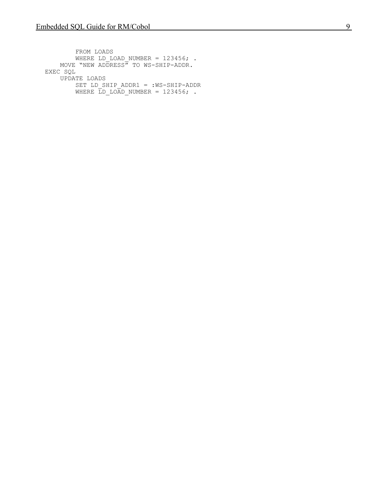FROM LOADS WHERE LD LOAD NUMBER =  $123456;$ . MOVE "NEW ADDRESS" TO WS-SHIP-ADDR. EXEC SQL UPDATE LOADS SET LD SHIP ADDR1 = :WS-SHIP-ADDR WHERE  $\overline{L}D$  load number = 123456; .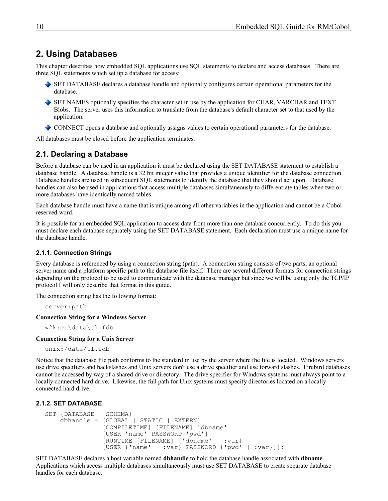# <span id="page-9-3"></span>**2. Using Databases**

This chapter describes how embedded SQL applications use SQL statements to declare and access databases. There are three SQL statements which set up a database for access:

- SET DATABASE declares a database handle and optionally configures certain operational parameters for the database.
- SET NAMES optionally specifies the character set in use by the application for CHAR, VARCHAR and TEXT Blobs. The server uses this information to translate from the database's default character set to that used by the application.

CONNECT opens a database and optionally assigns values to certain operational parameters for the database.

All databases must be closed before the application terminates.

# <span id="page-9-2"></span>**2.1. Declaring a Database**

Before a database can be used in an application it must be declared using the SET DATABASE statement to establish a database handle. A database handle is a 32 bit integer value that provides a unique identifier for the database connection. Database handles are used in subsequent SQL statements to identify the database that they should act upon. Database handles can also be used in applications that access multiple databases simultaneously to differentiate tables when two or more databases have identically named tables.

Each database handle must have a name that is unique among all other variables in the application and cannot be a Cobol reserved word.

It is possible for an embedded SQL application to access data from more than one database concurrently. To do this you must declare each database separately using the SET DATABASE statement. Each declaration must use a unique name for the database handle.

#### <span id="page-9-1"></span>**2.1.1. Connection Strings**

Every database is referenced by using a connection string (path). A connection string consists of two parts; an optional server name and a platform specific path to the database file itself. There are several different formats for connection strings depending on the protocol to be used to communicate with the database manager but since we will be using only the TCP/IP protocol I will only describe that format in this guide.

The connection string has the following format:

server:path

**Connection String for a Windows Server**

w2k:c:\data\tl.fdb

#### **Connection String for a Unix Server**

```
unix:/data/tl.fdb
```
Notice that the database file path conforms to the standard in use by the server where the file is located. Windows servers use drive specifiers and backslashes and Unix servers don't use a drive specifier and use forward slashes. Firebird databases cannot be accessed by way of a shared drive or directory. The drive specifier for Windows systems must always point to a locally connected hard drive. Likewise, the full path for Unix systems must specify directories located on a locally connected hard drive.

#### **2.1.2. SET DATABASE**

```
SET {DATABASE | SCHEMA}
     dbhandle = [GLOBAL | STATIC | EXTERN]
                 [COMPILETIME] [FILENAME] 'dbname'
                 [USER 'name' PASSWORD 'pwd']
                 [RUNTIME [FILENAME] {'dbname' | :var}
                 [USER {'name' | :var} PASSWORD {'pwd' | :var}]];
```
SET DATABASE declares a host variable named **dbhandle** to hold the database handle associated with **dbname**. Applications which access multiple databases simultaneously must use SET DATABASE to create separate database handles for each database.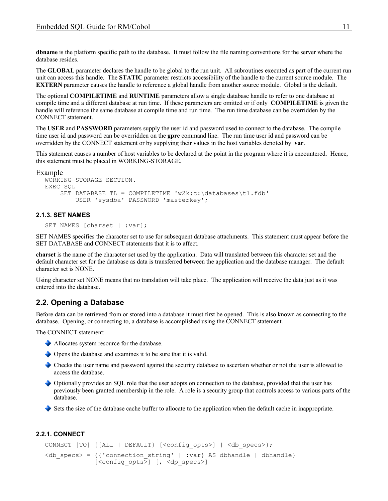**dbname** is the platform specific path to the database. It must follow the file naming conventions for the server where the database resides.

The **GLOBAL** parameter declares the handle to be global to the run unit. All subroutines executed as part of the current run unit can access this handle. The **STATIC** parameter restricts accessibility of the handle to the current source module. The **EXTERN** parameter causes the handle to reference a global handle from another source module. Global is the default.

The optional **COMPILETIME** and **RUNTIME** parameters allow a single database handle to refer to one database at compile time and a different database at run time. If these parameters are omitted or if only **COMPILETIME** is given the handle will reference the same database at compile time and run time. The run time database can be overridden by the CONNECT statement.

The **USER** and **PASSWORD** parameters supply the user id and password used to connect to the database. The compile time user id and password can be overridden on the **gpre** command line. The run time user id and password can be overridden by the CONNECT statement or by supplying their values in the host variables denoted by **var**.

This statement causes a number of host variables to be declared at the point in the program where it is encountered. Hence, this statement must be placed in WORKING-STORAGE.

#### Example

```
WORKING-STORAGE SECTION.
EXEC SQL
    SET DATABASE TL = COMPILETIME 'w2k:c:\databases\tl.fdb'
         USER 'sysdba' PASSWORD 'masterkey';
```
#### **2.1.3. SET NAMES**

<span id="page-10-2"></span>SET NAMES [charset | :var];

SET NAMES specifies the character set to use for subsequent database attachments. This statement must appear before the SET DATABASE and CONNECT statements that it is to affect.

**charset** is the name of the character set used by the application. Data will translated between this character set and the default character set for the database as data is transferred between the application and the database manager. The default character set is NONE.

Using character set NONE means that no translation will take place. The application will receive the data just as it was entered into the database.

# <span id="page-10-1"></span>**2.2. Opening a Database**

Before data can be retrieved from or stored into a database it must first be opened. This is also known as connecting to the database. Opening, or connecting to, a database is accomplished using the CONNECT statement.

The CONNECT statement:

- Allocates system resource for the database.
- Opens the database and examines it to be sure that it is valid.
- Checks the user name and password against the security database to ascertain whether or not the user is allowed to access the database.
- Optionally provides an SQL role that the user adopts on connection to the database, provided that the user has previously been granted membership in the role. A role is a security group that controls access to various parts of the database.
- Sets the size of the database cache buffer to allocate to the application when the default cache in inappropriate.

#### **2.2.1. CONNECT**

```
CONNECT [TO] {{ALL | DEFAULT} [<config opts>] | <db specs>};
<db specs> = {{'connection string' | :var} AS dbhandle | dbhandle}
                  [\langle \text{config} \text{opts} \rangle] [, \langle \text{dp} \text{ speeds} \rangle]
```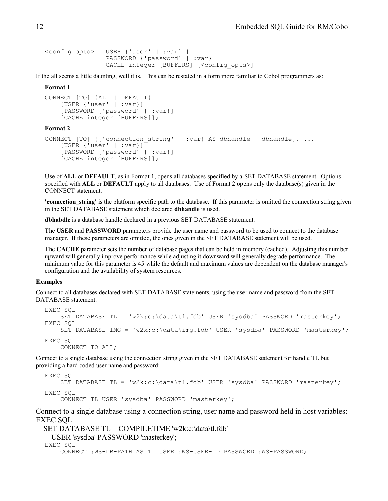```
\langle \text{config opts} \rangle = \text{USER} \{ 'user' \} \mid :var \}PASSWORD {'password' | :var} |
                      CACHE integer [BUFFERS] [<config_opts>]
```
If the all seems a little daunting, well it is. This can be restated in a form more familiar to Cobol programmers as:

#### **Format 1**

```
CONNECT [TO] {ALL | DEFAULT}
     [USER {'user' | :var}]
     [PASSWORD {'password' | :var}]
     [CACHE integer [BUFFERS]];
```
#### **Format 2**

```
CONNECT [TO] {{'connection_string' | :var} AS dbhandle | dbhandle}, ...
     [USER {'user' | :var}]
     [PASSWORD {'password' | :var}]
     [CACHE integer [BUFFERS]];
```
Use of **ALL** or **DEFAULT**, as in Format 1, opens all databases specified by a SET DATABASE statement. Options specified with **ALL** or **DEFAULT** apply to all databases. Use of Format 2 opens only the database(s) given in the CONNECT statement.

**'connection\_string'** is the platform specific path to the database. If this parameter is omitted the connection string given in the SET DATABASE statement which declared **dbhandle** is used.

**dbhabdle** is a database handle declared in a previous SET DATABASE statement.

The **USER** and **PASSWORD** parameters provide the user name and password to be used to connect to the database manager. If these parameters are omitted, the ones given in the SET DATABASE statement will be used.

The **CACHE** parameter sets the number of database pages that can be held in memory (cached). Adjusting this number upward will generally improve performance while adjusting it downward will generally degrade performance. The minimum value for this parameter is 45 while the default and maximum values are dependent on the database manager's configuration and the availability of system resources.

#### **Examples**

Connect to all databases declared with SET DATABASE statements, using the user name and password from the SET DATABASE statement:

```
EXEC SQL
     SET DATABASE TL = 'w2k:c:\data\tl.fdb' USER 'sysdba' PASSWORD 'masterkey';
EXEC SQL
     SET DATABASE IMG = 'w2k:c:\data\img.fdb' USER 'sysdba' PASSWORD 'masterkey';
EXEC SQL
     CONNECT TO ALL;
```
Connect to a single database using the connection string given in the SET DATABASE statement for handle TL but providing a hard coded user name and password:

```
EXEC SOL
     SET DATABASE TL = 'w2k:c:\data\tl.fdb' USER 'sysdba' PASSWORD 'masterkey';
EXEC SQL
     CONNECT TL USER 'sysdba' PASSWORD 'masterkey';
```
Connect to a single database using a connection string, user name and password held in host variables: EXEC SQL

```
 SET DATABASE TL = COMPILETIME 'w2k:c:\data\tl.fdb'
  USER 'sysdba' PASSWORD 'masterkey';
EXEC SQL
     CONNECT :WS-DB-PATH AS TL USER :WS-USER-ID PASSWORD :WS-PASSWORD;
```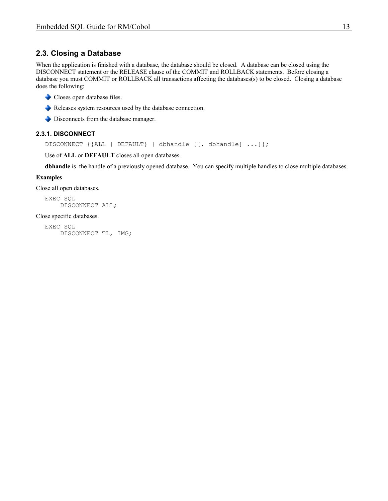# <span id="page-12-1"></span>**2.3. Closing a Database**

When the application is finished with a database, the database should be closed. A database can be closed using the DISCONNECT statement or the RELEASE clause of the COMMIT and ROLLBACK statements. Before closing a database you must COMMIT or ROLLBACK all transactions affecting the databases(s) to be closed. Closing a database does the following:

- Closes open database files.
- Releases system resources used by the database connection.
- Disconnects from the database manager.

### **2.3.1. DISCONNECT**

<span id="page-12-0"></span>DISCONNECT {{ALL | DEFAULT} | dbhandle [[, dbhandle] ...]};

Use of **ALL** or **DEFAULT** closes all open databases.

**dbhandle** is the handle of a previously opened database. You can specify multiple handles to close multiple databases.

#### **Examples**

Close all open databases.

EXEC SQL DISCONNECT ALL;

Close specific databases.

EXEC SQL DISCONNECT TL, IMG;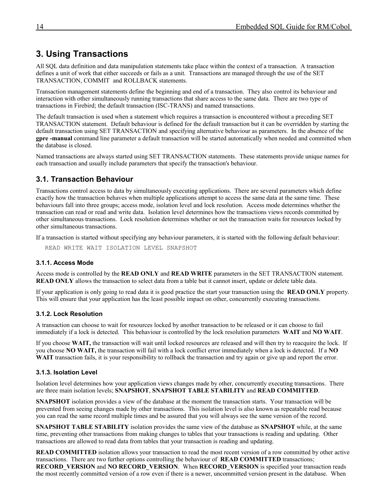# <span id="page-13-4"></span>**3. Using Transactions**

All SQL data definition and data manipulation statements take place within the context of a transaction. A transaction defines a unit of work that either succeeds or fails as a unit. Transactions are managed through the use of the SET TRANSACTION, COMMIT and ROLLBACK statements.

Transaction management statements define the beginning and end of a transaction. They also control its behaviour and interaction with other simultaneously running transactions that share access to the same data. There are two type of transactions in Firebird; the default transaction (ISC-TRANS) and named transactions.

The default transaction is used when a statement which requires a transaction is encountered without a preceding SET TRANSACTION statement. Default behaviour is defined for the default transaction but it can be overridden by starting the default transaction using SET TRANSACTION and specifying alternative behaviour as parameters. In the absence of the **gpre -manual** command line parameter a default transaction will be started automatically when needed and committed when the database is closed.

Named transactions are always started using SET TRANSACTION statements. These statements provide unique names for each transaction and usually include parameters that specify the transaction's behaviour.

# <span id="page-13-3"></span>**3.1. Transaction Behaviour**

Transactions control access to data by simultaneously executing applications. There are several parameters which define exactly how the transaction behaves when multiple applications attempt to access the same data at the same time. These behaviours fall into three groups; access mode, isolation level and lock resolution. Access mode determines whether the transaction can read or read and write data. Isolation level determines how the transactions views records committed by other simultaneous transactions. Lock resolution determines whether or not the transaction waits for resources locked by other simultaneous transactions.

If a transaction is started without specifying any behaviour parameters, it is started with the following default behaviour:

<span id="page-13-2"></span>READ WRITE WAIT ISOLATION LEVEL SNAPSHOT

#### **3.1.1. Access Mode**

Access mode is controlled by the **READ ONLY** and **READ WRITE** parameters in the SET TRANSACTION statement. **READ ONLY** allows the transaction to select data from a table but it cannot insert, update or delete table data.

If your application is only going to read data it is good practice the start your transaction using the **READ ONLY** property. This will ensure that your application has the least possible impact on other, concurrently executing transactions.

#### <span id="page-13-1"></span>**3.1.2. Lock Resolution**

A transaction can choose to wait for resources locked by another transaction to be released or it can choose to fail immediately if a lock is detected. This behaviour is controlled by the lock resolution parameters **WAIT** and **NO WAIT**.

If you choose **WAIT,** the transaction will wait until locked resources are released and will then try to reacquire the lock. If you choose **NO WAIT,** the transaction will fail with a lock conflict error immediately when a lock is detected. If a **NO WAIT** transaction fails, it is your responsibility to rollback the transaction and try again or give up and report the error.

#### <span id="page-13-0"></span>**3.1.3. Isolation Level**

Isolation level determines how your application views changes made by other, concurrently executing transactions. There are three main isolation levels; **SNAPSHOT**, **SNAPSHOT TABLE STABILITY** and **READ COMMITTED**.

**SNAPSHOT** isolation provides a view of the database at the moment the transaction starts. Your transaction will be prevented from seeing changes made by other transactions. This isolation level is also known as repeatable read because you can read the same record multiple times and be assured that you will always see the same version of the record.

**SNAPSHOT TABLE STABILITY** isolation provides the same view of the database as **SNAPSHOT** while, at the same time, preventing other transactions from making changes to tables that your transactions is reading and updating. Other transactions are allowed to read data from tables that your transaction is reading and updating.

**READ COMMITTED** isolation allows your transaction to read the most recent version of a row committed by other active transactions. There are two further options controlling the behaviour of **READ COMMITTED** transactions; **RECORD\_VERSION** and **NO RECORD\_VERSION**. When **RECORD\_VERSION** is specified your transaction reads the most recently committed version of a row even if there is a newer, uncommitted version present in the database. When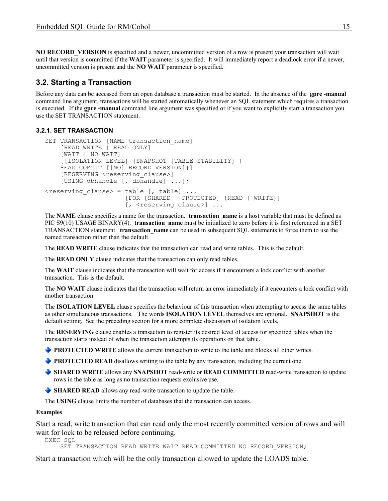**NO RECORD\_VERSION** is specified and a newer, uncommitted version of a row is present your transaction will wait until that version is committed if the **WAIT** parameter is specified. It will immediately report a deadlock error if a newer, uncommitted version is present and the **NO WAIT** parameter is specified.

# <span id="page-14-1"></span>**3.2. Starting a Transaction**

Before any data can be accessed from an open database a transaction must be started. In the absence of the **gpre -manual** command line argument, transactions will be started automatically whenever an SQL statement which requires a transaction is executed. If the **gpre -manual** command line argument was specified or if you want to explicitly start a transaction you use the SET TRANSACTION statement.

# **3.2.1. SET TRANSACTION**

```
SET TRANSACTION [NAME transaction name]
     [READ WRITE | READ ONLY]
     [WAIT | NO WAIT]
     [[ISOLATION LEVEL] {SNAPSHOT [TABLE STABILITY] |
    READ COMMIT [[NO] RECORD VERSION] } ]
    [RESERVING <reserving clause>]
     [USING dbhandle [, dbhandle] ...];
\langle reserving clause> = table [, table] ...
                       [FOR [SHARED | PROTECTED] {READ | WRITE}]
                      [, <reserving clause>] ...
```
The **NAME** clause specifies a name for the transaction. **transaction name** is a host variable that must be defined as PIC S9(10) USAGE BINARY(4). **transaction name** must be initialized to zero before it is first referenced in a SET TRANSACTION statement. **transaction\_name** can be used in subsequent SQL statements to force them to use the named transaction rather than the default.

The **READ WRITE** clause indicates that the transaction can read and write tables. This is the default.

The **READ ONLY** clause indicates that the transaction can only read tables.

The **WAIT** clause indicates that the transaction will wait for access if it encounters a lock conflict with another transaction. This is the default.

The **NO WAIT** clause indicates that the transaction will return an error immediately if it encounters a lock conflict with another transaction.

The **ISOLATION LEVEL** clause specifies the behaviour of this transaction when attempting to access the same tables as other simultaneous transactions. The words **ISOLATION LEVEL** themselves are optional. **SNAPSHOT** is the default setting. See the preceding section for a more complete discussion of isolation levels.

The **RESERVING** clause enables a transaction to register its desired level of access for specified tables when the transaction starts instead of when the transaction attempts its operations on that table.

**PROTECTED WRITE** allows the current transaction to write to the table and blocks all other writes.

**PROTECTED READ** disallows writing to the table by any transaction, including the current one.

- **SHARED WRITE** allows any **SNAPSHOT** read-write or **READ COMMITTED** read-write transaction to update rows in the table as long as no transaction requests exclusive use.
- **SHARED READ** allows any read-write transaction to update the table.

The **USING** clause limits the number of databases that the transaction can access.

#### **Examples**

Start a read, write transaction that can read only the most recently committed version of rows and will wait for lock to be released before continuing.

EXEC SQL

SET TRANSACTION READ WRITE WAIT READ COMMITTED NO RECORD VERSION;

Start a transaction which will be the only transaction allowed to update the LOADS table.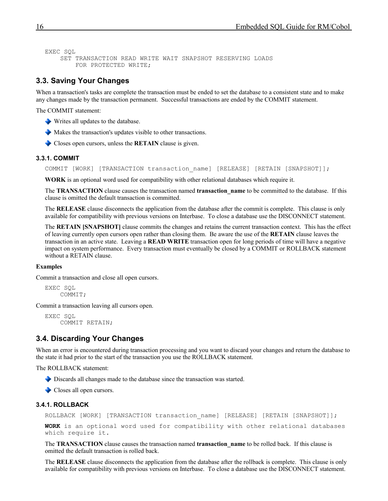```
EXEC SQL
     SET TRANSACTION READ WRITE WAIT SNAPSHOT RESERVING LOADS
         FOR PROTECTED WRITE;
```
# <span id="page-15-3"></span>**3.3. Saving Your Changes**

When a transaction's tasks are complete the transaction must be ended to set the database to a consistent state and to make any changes made by the transaction permanent. Successful transactions are ended by the COMMIT statement.

The COMMIT statement:

- Writes all updates to the database.
- Makes the transaction's updates visible to other transactions.
- Closes open cursors, unless the **RETAIN** clause is given.

#### **3.3.1. COMMIT**

<span id="page-15-2"></span>COMMIT [WORK] [TRANSACTION transaction name] [RELEASE] [RETAIN [SNAPSHOT]];

**WORK** is an optional word used for compatibility with other relational databases which require it.

The **TRANSACTION** clause causes the transaction named **transaction\_name** to be committed to the database. If this clause is omitted the default transaction is committed.

The **RELEASE** clause disconnects the application from the database after the commit is complete. This clause is only available for compatibility with previous versions on Interbase. To close a database use the DISCONNECT statement.

The **RETAIN [SNAPSHOT]** clause commits the changes and retains the current transaction context. This has the effect of leaving currently open cursors open rather than closing them. Be aware the use of the **RETAIN** clause leaves the transaction in an active state. Leaving a **READ WRITE** transaction open for long periods of time will have a negative impact on system performance. Every transaction must eventually be closed by a COMMIT or ROLLBACK statement without a RETAIN clause.

#### **Examples**

Commit a transaction and close all open cursors.

```
EXEC SOL
     COMMIT;
```
Commit a transaction leaving all cursors open.

```
EXEC SQL
     COMMIT RETAIN;
```
### <span id="page-15-1"></span>**3.4. Discarding Your Changes**

When an error is encountered during transaction processing and you want to discard your changes and return the database to the state it had prior to the start of the transaction you use the ROLLBACK statement.

The ROLLBACK statement:

- Discards all changes made to the database since the transaction was started.
- Closes all open cursors.

#### **3.4.1. ROLLBACK**

```
ROLLBACK [WORK] [TRANSACTION transaction name] [RELEASE] [RETAIN [SNAPSHOT]];
```

```
WORK is an optional word used for compatibility with other relational databases
which require it.
```
The **TRANSACTION** clause causes the transaction named **transaction\_name** to be rolled back. If this clause is omitted the default transaction is rolled back.

The **RELEASE** clause disconnects the application from the database after the rollback is complete. This clause is only available for compatibility with previous versions on Interbase. To close a database use the DISCONNECT statement.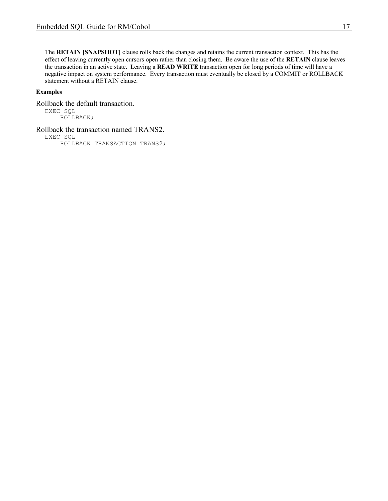The **RETAIN [SNAPSHOT]** clause rolls back the changes and retains the current transaction context. This has the effect of leaving currently open cursors open rather than closing them. Be aware the use of the **RETAIN** clause leaves the transaction in an active state. Leaving a **READ WRITE** transaction open for long periods of time will have a negative impact on system performance. Every transaction must eventually be closed by a COMMIT or ROLLBACK statement without a RETAIN clause.

#### **Examples**

Rollback the default transaction.

EXEC SQL ROLLBACK;

Rollback the transaction named TRANS2.

EXEC SQL

ROLLBACK TRANSACTION TRANS2;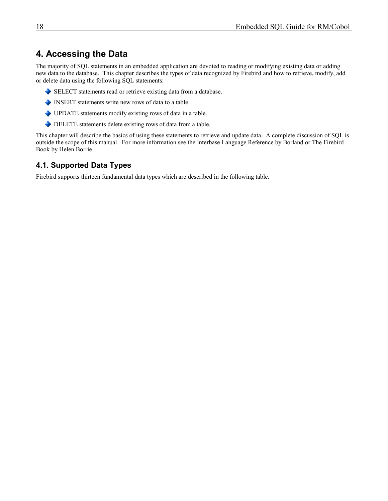# <span id="page-17-1"></span>**4. Accessing the Data**

The majority of SQL statements in an embedded application are devoted to reading or modifying existing data or adding new data to the database. This chapter describes the types of data recognized by Firebird and how to retrieve, modify, add or delete data using the following SQL statements:

- SELECT statements read or retrieve existing data from a database.
- INSERT statements write new rows of data to a table.
- UPDATE statements modify existing rows of data in a table.
- DELETE statements delete existing rows of data from a table.

This chapter will describe the basics of using these statements to retrieve and update data. A complete discussion of SQL is outside the scope of this manual. For more information see the Interbase Language Reference by Borland or The Firebird Book by Helen Borrie.

# <span id="page-17-0"></span>**4.1. Supported Data Types**

Firebird supports thirteen fundamental data types which are described in the following table.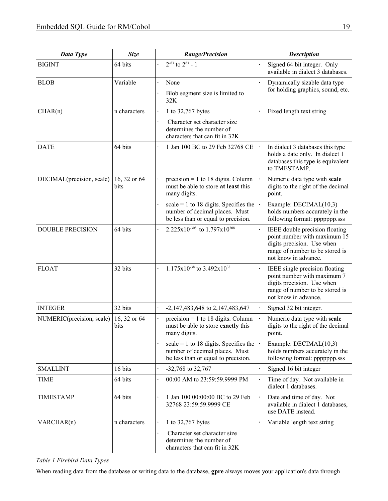| <b>Data Type</b>          | <b>Size</b>          | <b>Range/Precision</b>                                                                                         | <b>Description</b>                                                                                                                                      |
|---------------------------|----------------------|----------------------------------------------------------------------------------------------------------------|---------------------------------------------------------------------------------------------------------------------------------------------------------|
| <b>BIGINT</b>             | 64 bits              | $2^{-63}$ to $2^{63}$ - 1                                                                                      | Signed 64 bit integer. Only<br>available in dialect 3 databases.                                                                                        |
| <b>BLOB</b>               | Variable             | None<br>$\ddot{\phantom{0}}$                                                                                   | Dynamically sizable data type                                                                                                                           |
|                           |                      | Blob segment size is limited to<br>32K                                                                         | for holding graphics, sound, etc.                                                                                                                       |
| CHAR(n)                   | n characters         | 1 to 32,767 bytes                                                                                              | Fixed length text string                                                                                                                                |
|                           |                      | Character set character size<br>determines the number of<br>characters that can fit in 32K                     |                                                                                                                                                         |
| <b>DATE</b>               | 64 bits              | 1 Jan 100 BC to 29 Feb 32768 CE                                                                                | In dialect 3 databases this type<br>holds a date only. In dialect 1<br>databases this type is equivalent<br>to TMESTAMP.                                |
| DECIMAL(precision, scale) | 16, 32 or 64<br>bits | $precision = 1$ to 18 digits. Column<br>must be able to store at least this<br>many digits.                    | Numeric data type with scale<br>digits to the right of the decimal<br>point.                                                                            |
|                           |                      | scale = 1 to 18 digits. Specifies the<br>number of decimal places. Must<br>be less than or equal to precision. | Example: DECIMAL(10,3)<br>holds numbers accurately in the<br>following format: ppppppp.sss                                                              |
| <b>DOUBLE PRECISION</b>   | 64 bits              | 2.225x10 <sup>-308</sup> to 1.797x10 <sup>308</sup>                                                            | IEEE double precision floating<br>point number with maximum 15<br>digits precision. Use when<br>range of number to be stored is<br>not know in advance. |
| <b>FLOAT</b>              | 32 bits              | $1.175x10^{-38}$ to $3.492x10^{38}$                                                                            | IEEE single precision floating<br>point number with maximum 7<br>digits precision. Use when<br>range of number to be stored is<br>not know in advance.  |
| <b>INTEGER</b>            | 32 bits              | $-2,147,483,648$ to 2,147,483,647                                                                              | Signed 32 bit integer.                                                                                                                                  |
| NUMERIC(precision, scale) | 16, 32 or 64<br>bits | $precision = 1$ to 18 digits. Column<br>must be able to store exactly this<br>many digits.                     | Numeric data type with scale<br>digits to the right of the decimal<br>point.                                                                            |
|                           |                      | scale = 1 to 18 digits. Specifies the<br>number of decimal places. Must<br>be less than or equal to precision. | Example: DECIMAL(10,3)<br>holds numbers accurately in the<br>following format: ppppppp.sss                                                              |
| <b>SMALLINT</b>           | 16 bits              | $-32,768$ to 32,767                                                                                            | Signed 16 bit integer                                                                                                                                   |
| <b>TIME</b>               | 64 bits              | 00:00 AM to 23:59:59.9999 PM                                                                                   | Time of day. Not available in<br>dialect 1 databases.                                                                                                   |
| <b>TIMESTAMP</b>          | 64 bits              | 1 Jan 100 00:00:00 BC to 29 Feb<br>32768 23:59:59.9999 CE                                                      | Date and time of day. Not<br>available in dialect 1 databases,<br>use DATE instead.                                                                     |
| VARCHAR(n)                | n characters         | 1 to 32,767 bytes                                                                                              | Variable length text string                                                                                                                             |
|                           |                      | Character set character size<br>determines the number of<br>characters that can fit in 32K                     |                                                                                                                                                         |

*Table 1 Firebird Data Types*

When reading data from the database or writing data to the database, **gpre** always moves your application's data through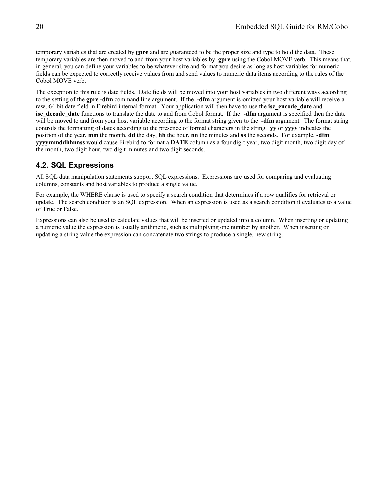temporary variables that are created by **gpre** and are guaranteed to be the proper size and type to hold the data. These temporary variables are then moved to and from your host variables by **gpre** using the Cobol MOVE verb. This means that, in general, you can define your variables to be whatever size and format you desire as long as host variables for numeric fields can be expected to correctly receive values from and send values to numeric data items according to the rules of the Cobol MOVE verb.

The exception to this rule is date fields. Date fields will be moved into your host variables in two different ways according to the setting of the **gpre -dfm** command line argument. If the **-dfm** argument is omitted your host variable will receive a raw, 64 bit date field in Firebird internal format. Your application will then have to use the **isc\_encode\_date** and **isc\_decode\_date** functions to translate the date to and from Cobol format. If the **-dfm** argument is specified then the date will be moved to and from your host variable according to the format string given to the **-dfm** argument. The format string controls the formatting of dates according to the presence of format characters in the string. **yy** or **yyyy** indicates the position of the year, **mm** the month, **dd** the day, **hh** the hour, **nn** the minutes and **ss** the seconds. For example, **-dfm yyyymmddhhnnss** would cause Firebird to format a **DATE** column as a four digit year, two digit month, two digit day of the month, two digit hour, two digit minutes and two digit seconds.

# <span id="page-19-0"></span>**4.2. SQL Expressions**

All SQL data manipulation statements support SQL expressions. Expressions are used for comparing and evaluating columns, constants and host variables to produce a single value.

For example, the WHERE clause is used to specify a search condition that determines if a row qualifies for retrieval or update. The search condition is an SQL expression. When an expression is used as a search condition it evaluates to a value of True or False.

Expressions can also be used to calculate values that will be inserted or updated into a column. When inserting or updating a numeric value the expression is usually arithmetic, such as multiplying one number by another. When inserting or updating a string value the expression can concatenate two strings to produce a single, new string.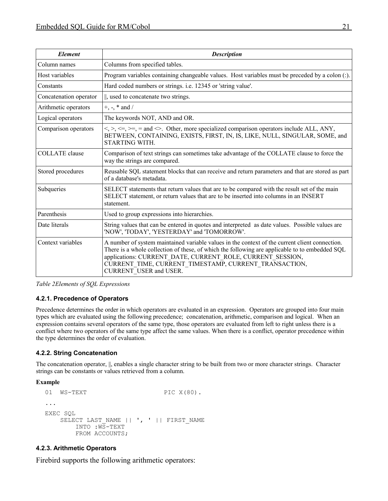| <b>Element</b>         | <b>Description</b>                                                                                                                                                                                                                                                                                                                                |
|------------------------|---------------------------------------------------------------------------------------------------------------------------------------------------------------------------------------------------------------------------------------------------------------------------------------------------------------------------------------------------|
| Column names           | Columns from specified tables.                                                                                                                                                                                                                                                                                                                    |
| Host variables         | Program variables containing changeable values. Host variables must be preceded by a colon (:).                                                                                                                                                                                                                                                   |
| Constants              | Hard coded numbers or strings. i.e. 12345 or 'string value'.                                                                                                                                                                                                                                                                                      |
| Concatenation operator | , used to concatenate two strings.                                                                                                                                                                                                                                                                                                                |
| Arithmetic operators   | +, -, $*$ and /                                                                                                                                                                                                                                                                                                                                   |
| Logical operators      | The keywords NOT, AND and OR.                                                                                                                                                                                                                                                                                                                     |
| Comparison operators   | $\langle \rangle$ , $\langle =, \rangle =, =$ and $\langle \rangle$ . Other, more specialized comparison operators include ALL, ANY,<br>BETWEEN, CONTAINING, EXISTS, FIRST, IN, IS, LIKE, NULL, SINGULAR, SOME, and<br>STARTING WITH.                                                                                                             |
| <b>COLLATE</b> clause  | Comparison of text strings can sometimes take advantage of the COLLATE clause to force the<br>way the strings are compared.                                                                                                                                                                                                                       |
| Stored procedures      | Reusable SQL statement blocks that can receive and return parameters and that are stored as part<br>of a database's metadata.                                                                                                                                                                                                                     |
| Subqueries             | SELECT statements that return values that are to be compared with the result set of the main<br>SELECT statement, or return values that are to be inserted into columns in an INSERT<br>statement.                                                                                                                                                |
| Parenthesis            | Used to group expressions into hierarchies.                                                                                                                                                                                                                                                                                                       |
| Date literals          | String values that can be entered in quotes and interpreted as date values. Possible values are<br>'NOW', 'TODAY', 'YESTERDAY' and 'TOMORROW'.                                                                                                                                                                                                    |
| Context variables      | A number of system maintained variable values in the context of the current client connection.<br>There is a whole collection of these, of which the following are applicable to to embedded SQL<br>applications: CURRENT DATE, CURRENT ROLE, CURRENT SESSION,<br>CURRENT TIME, CURRENT TIMESTAMP, CURRENT TRANSACTION,<br>CURRENT USER and USER. |

*Table 2Elements of SQL Expressions*

#### <span id="page-20-2"></span>**4.2.1. Precedence of Operators**

Precedence determines the order in which operators are evaluated in an expression. Operators are grouped into four main types which are evaluated using the following precedence; concatenation, arithmetic, comparison and logical. When an expression contains several operators of the same type, those operators are evaluated from left to right unless there is a conflict where two operators of the same type affect the same values. When there is a conflict, operator precedence within the type determines the order of evaluation.

# <span id="page-20-1"></span>**4.2.2. String Concatenation**

The concatenation operator, ||, enables a single character string to be built from two or more character strings. Character strings can be constants or values retrieved from a column.

#### **Example**

```
01 WS-TEXT PIC X(80).
...
EXEC SQL
   SELECT LAST NAME || ', ' || FIRST NAME
        INTO :WS-TEXT
        FROM ACCOUNTS;
```
#### <span id="page-20-0"></span>**4.2.3. Arithmetic Operators**

Firebird supports the following arithmetic operators: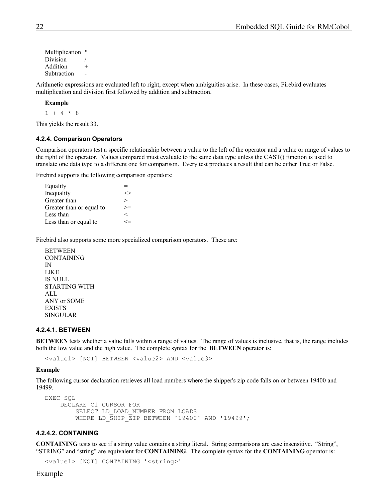Multiplication  $*$ Division Addition + Subtraction

Arithmetic expressions are evaluated left to right, except when ambiguities arise. In these cases, Firebird evaluates multiplication and division first followed by addition and subtraction.

**Example**

 $1 + 4 * 8$ 

This yields the result 33.

#### <span id="page-21-2"></span>**4.2.4. Comparison Operators**

Comparison operators test a specific relationship between a value to the left of the operator and a value or range of values to the right of the operator. Values compared must evaluate to the same data type unless the CAST() function is used to translate one data type to a different one for comparison. Every test produces a result that can be either True or False.

Firebird supports the following comparison operators:

| Equality                 |   |
|--------------------------|---|
| Inequality               |   |
| Greater than             | ↘ |
| Greater than or equal to |   |
| Less than                | ✓ |
| Less than or equal to    |   |

Firebird also supports some more specialized comparison operators. These are:

**BETWEEN** CONTAINING IN LIKE IS NULL STARTING WITH ALL ANY or SOME EXISTS SINGULAR

#### <span id="page-21-1"></span>**4.2.4.1. BETWEEN**

**BETWEEN** tests whether a value falls within a range of values. The range of values is inclusive, that is, the range includes both the low value and the high value. The complete syntax for the **BETWEEN** operator is:

<value1> [NOT] BETWEEN <value2> AND <value3>

#### **Example**

The following cursor declaration retrieves all load numbers where the shipper's zip code falls on or between 19400 and 19499.

```
EXEC SQL
     DECLARE C1 CURSOR FOR
         SELECT LD_LOAD_NUMBER FROM LOADS
        WHERE LD SHIP ZIP BETWEEN '19400' AND '19499';
```
#### <span id="page-21-0"></span>**4.2.4.2. CONTAINING**

**CONTAINING** tests to see if a string value contains a string literal. String comparisons are case insensitive. "String", "STRING" and "string" are equivalent for **CONTAINING**. The complete syntax for the **CONTAINING** operator is:

```
<value1> [NOT] CONTAINING '<string>'
```
#### Example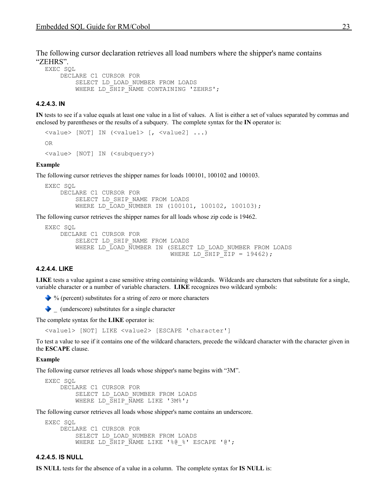The following cursor declaration retrieves all load numbers where the shipper's name contains "ZEHRS".

EXEC SQL

```
 DECLARE C1 CURSOR FOR
     SELECT LD_LOAD_NUMBER FROM LOADS
    WHERE LD SHIP NAME CONTAINING 'ZEHRS';
```
#### <span id="page-22-2"></span>**4.2.4.3. IN**

**IN** tests to see if a value equals at least one value in a list of values. A list is either a set of values separated by commas and enclosed by parentheses or the results of a subquery. The complete syntax for the **IN** operator is:

```
<value> [NOT] IN (<value1> [, <value2] ...)
OR
<value> [NOT] IN (<subquery>)
```
#### **Example**

The following cursor retrieves the shipper names for loads 100101, 100102 and 100103.

```
EXEC SQL
     DECLARE C1 CURSOR FOR
        SELECT LD SHIP NAME FROM LOADS
        WHERE LD LOAD NUMBER IN (100101, 100102, 100103);
```
The following cursor retrieves the shipper names for all loads whose zip code is 19462.

```
EXEC SQL
     DECLARE C1 CURSOR FOR
         SELECT LD_SHIP_NAME FROM LOADS
        WHERE LD LOAD NUMBER IN (SELECT LD LOAD NUMBER FROM LOADS
                                    WHERE LD SHIP \overline{ZIP} = 19462);
```
#### <span id="page-22-1"></span>**4.2.4.4. LIKE**

**LIKE** tests a value against a case sensitive string containing wildcards. Wildcards are characters that substitute for a single, variable character or a number of variable characters. **LIKE** recognizes two wildcard symbols:

% (percent) substitutes for a string of zero or more characters

 $\bullet$  (underscore) substitutes for a single character

The complete syntax for the **LIKE** operator is:

<value1> [NOT] LIKE <value2> [ESCAPE 'character']

To test a value to see if it contains one of the wildcard characters, precede the wildcard character with the character given in the **ESCAPE** clause.

#### **Example**

The following cursor retrieves all loads whose shipper's name begins with "3M".

```
EXEC SQL
     DECLARE C1 CURSOR FOR
         SELECT LD_LOAD_NUMBER FROM LOADS
        WHERE LD SHIP NAME LIKE '3M%';
```
The following cursor retrieves all loads whose shipper's name contains an underscore.

```
EXEC SOL
     DECLARE C1 CURSOR FOR
         SELECT LD_LOAD_NUMBER FROM LOADS
        WHERE LD SHIP NAME LIKE '%@ %' ESCAPE '@';
```
#### <span id="page-22-0"></span>**4.2.4.5. IS NULL**

**IS NULL** tests for the absence of a value in a column. The complete syntax for **IS NULL** is: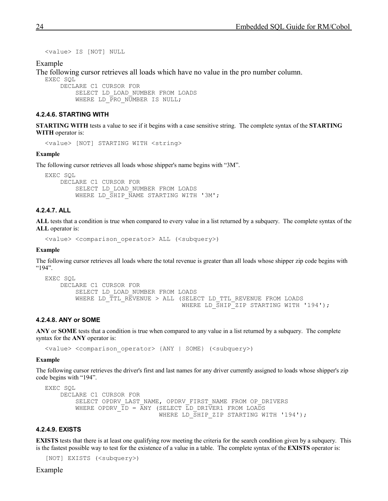<value> IS [NOT] NULL

Example

The following cursor retrieves all loads which have no value in the pro number column.

EXEC SQL

 DECLARE C1 CURSOR FOR SELECT LD\_LOAD\_NUMBER FROM LOADS WHERE LD PRO NUMBER IS NULL;

#### <span id="page-23-1"></span>**4.2.4.6. STARTING WITH**

**STARTING WITH** tests a value to see if it begins with a case sensitive string. The complete syntax of the **STARTING WITH** operator is:

<value> [NOT] STARTING WITH <string>

#### **Example**

The following cursor retrieves all loads whose shipper's name begins with "3M".

EXEC SQL DECLARE C1 CURSOR FOR SELECT LD\_LOAD\_NUMBER FROM LOADS WHERE LD SHIP NAME STARTING WITH '3M';

#### <span id="page-23-0"></span>**4.2.4.7. ALL**

**ALL** tests that a condition is true when compared to every value in a list returned by a subquery. The complete syntax of the **ALL** operator is:

<value> <comparison\_operator> ALL (<subquery>)

#### **Example**

The following cursor retrieves all loads where the total revenue is greater than all loads whose shipper zip code begins with "194".

```
EXEC SQL
     DECLARE C1 CURSOR FOR
         SELECT LD_LOAD_NUMBER FROM LOADS
        WHERE LD_TTL_REVENUE > ALL_(SELECT LD_TTL_REVENUE FROM LOADS
                                       WHERE LD SHIP<sup>T</sup>ZIP STARTING WITH '194');
```
#### <span id="page-23-3"></span>**4.2.4.8. ANY or SOME**

**ANY** or **SOME** tests that a condition is true when compared to any value in a list returned by a subquery. The complete syntax for the **ANY** operator is:

<value> <comparison\_operator> {ANY | SOME} (<subquery>)

#### **Example**

The following cursor retrieves the driver's first and last names for any driver currently assigned to loads whose shipper's zip code begins with "194".

```
EXEC SQL
     DECLARE C1 CURSOR FOR
         SELECT OPDRV_LAST_NAME, OPDRV_FIRST_NAME FROM OP_DRIVERS
         WHERE OPDRV \overline{ID} = \overline{ANY} (SELECT \overline{LD} DRIVER1 FROM LOADS
                                   WHERE LD SHIP ZIP STARTING WITH '194');
```
#### <span id="page-23-2"></span>**4.2.4.9. EXISTS**

**EXISTS** tests that there is at least one qualifying row meeting the criteria for the search condition given by a subquery. This is the fastest possible way to test for the existence of a value in a table. The complete syntax of the **EXISTS** operator is:

[NOT] EXISTS (<subquery>)

#### Example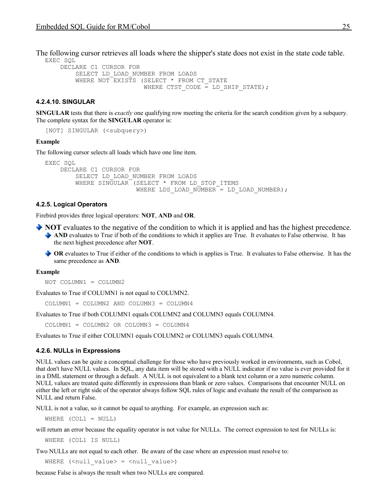The following cursor retrieves all loads where the shipper's state does not exist in the state code table. EXEC SQL

```
 DECLARE C1 CURSOR FOR
     SELECT LD_LOAD_NUMBER FROM LOADS
    WHERE NOT EXISTS (SELECT * FROM CT STATE
                      WHERE CTST CODE = LD SHIP STATE);
```
#### <span id="page-24-2"></span>**4.2.4.10. SINGULAR**

**SINGULAR** tests that there is *exactly* one qualifying row meeting the criteria for the search condition given by a subquery. The complete syntax for the **SINGULAR** operator is:

[NOT] SINGULAR (<subquery>)

#### **Example**

The following cursor selects all loads which have one line item.

```
EXEC SQL
     DECLARE C1 CURSOR FOR
         SELECT LD_LOAD_NUMBER FROM LOADS
         WHERE SINGULAR (SELECT * FROM LD_STOP_ITEMS
                        WHERE LDS LOAD NUMBER = LD LOAD NUMBER);
```
#### <span id="page-24-1"></span>**4.2.5. Logical Operators**

Firebird provides three logical operators: **NOT**, **AND** and **OR**.

- **NOT** evaluates to the negative of the condition to which it is applied and has the highest precedence. AND evaluates to True if both of the conditions to which it applies are True. It evaluates to False otherwise. It has the next highest precedence after **NOT**.
	- **OR** evaluates to True if either of the conditions to which is applies is True. It evaluates to False otherwise. It has the same precedence as **AND**.

#### **Example**

NOT COLUMN1 = COLUMN2

Evaluates to True if COLUMN1 is not equal to COLUMN2.

COLUMN1 = COLUMN2 AND COLUMN3 = COLUMN4

Evaluates to True if both COLUMN1 equals COLUMN2 and COLUMN3 equals COLUMN4.

COLUMN1 = COLUMN2 OR COLUMN3 = COLUMN4

Evaluates to True if either COLUMN1 equals COLUMN2 or COLUMN3 equals COLUMN4.

#### <span id="page-24-0"></span>**4.2.6. NULLs in Expressions**

NULL values can be quite a conceptual challenge for those who have previously worked in environments, such as Cobol, that don't have NULL values. In SQL, any data item will be stored with a NULL indicator if no value is ever provided for it in a DML statement or through a default. A NULL is not equivalent to a blank text column or a zero numeric column. NULL values are treated quite differently in expressions than blank or zero values. Comparisons that encounter NULL on either the left or right side of the operator always follow SQL rules of logic and evaluate the result of the comparison as NULL and return False.

NULL is not a value, so it cannot be equal to anything. For example, an expression such as:

WHERE  $(COL1 = NULL)$ 

will return an error because the equality operator is not value for NULLs. The correct expression to test for NULLs is:

WHERE (COL1 IS NULL)

Two NULLs are not equal to each other. Be aware of the case where an expression must resolve to:

WHERE ( $\langle \text{null value} \rangle = \langle \text{null value} \rangle$ )

because False is always the result when two NULLs are compared.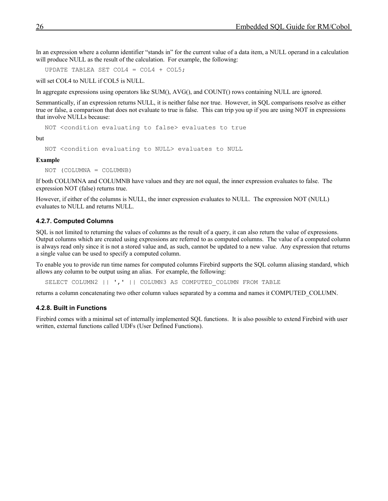In an expression where a column identifier "stands in" for the current value of a data item, a NULL operand in a calculation will produce NULL as the result of the calculation. For example, the following:

UPDATE TABLEA SET COL4 =  $COL4 + COL5$ ;

will set COL4 to NULL if COL5 is NULL.

In aggregate expressions using operators like SUM(), AVG(), and COUNT() rows containing NULL are ignored.

Semmantically, if an expression returns NULL, it is neither false nor true. However, in SQL comparisons resolve as either true or false, a comparison that does not evaluate to true is false. This can trip you up if you are using NOT in expressions that involve NULLs because:

NOT <condition evaluating to false> evaluates to true

but

NOT <condition evaluating to NULL> evaluates to NULL

#### **Example**

NOT (COLUMNA = COLUMNB)

If both COLUMNA and COLUMNB have values and they are not equal, the inner expression evaluates to false. The expression NOT (false) returns true.

However, if either of the columns is NULL, the inner expression evaluates to NULL. The expression NOT (NULL) evaluates to NULL and returns NULL.

#### <span id="page-25-1"></span>**4.2.7. Computed Columns**

SQL is not limited to returning the values of columns as the result of a query, it can also return the value of expressions. Output columns which are created using expressions are referred to as computed columns. The value of a computed column is always read only since it is not a stored value and, as such, cannot be updated to a new value. Any expression that returns a single value can be used to specify a computed column.

To enable you to provide run time names for computed columns Firebird supports the SQL column aliasing standard, which allows any column to be output using an alias. For example, the following:

SELECT COLUMN2 | | ', ' | | COLUMN3 AS COMPUTED COLUMN FROM TABLE

returns a column concatenating two other column values separated by a comma and names it COMPUTED\_COLUMN.

#### <span id="page-25-0"></span>**4.2.8. Built in Functions**

Firebird comes with a minimal set of internally implemented SQL functions. It is also possible to extend Firebird with user written, external functions called UDFs (User Defined Functions).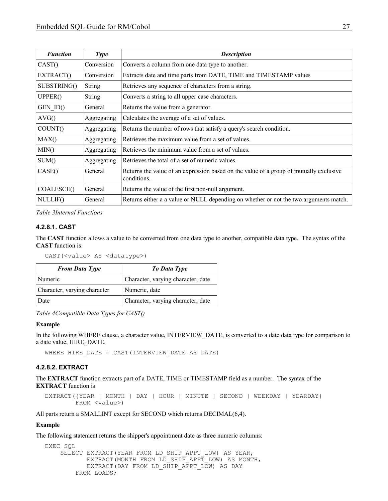| <b>Function</b> | <b>Type</b>   | <b>Description</b>                                                                                    |
|-----------------|---------------|-------------------------------------------------------------------------------------------------------|
| CAST()          | Conversion    | Converts a column from one data type to another.                                                      |
| EXTRACT()       | Conversion    | Extracts date and time parts from DATE, TIME and TIMESTAMP values                                     |
| SUBSTRING()     | <b>String</b> | Retrieves any sequence of characters from a string.                                                   |
| UPPER()         | <b>String</b> | Converts a string to all upper case characters.                                                       |
| GEN ID()        | General       | Returns the value from a generator.                                                                   |
| AVG()           | Aggregating   | Calculates the average of a set of values.                                                            |
| COUNT()         | Aggregating   | Returns the number of rows that satisfy a query's search condition.                                   |
| MAX()           | Aggregating   | Retrieves the maximum value from a set of values.                                                     |
| MIN()           | Aggregating   | Retrieves the minimum value from a set of values.                                                     |
| SUM()           | Aggregating   | Retrieves the total of a set of numeric values.                                                       |
| CASE()          | General       | Returns the value of an expression based on the value of a group of mutually exclusive<br>conditions. |
| COALESCE()      | General       | Returns the value of the first non-null argument.                                                     |
| NULLIF()        | General       | Returns either a a value or NULL depending on whether or not the two arguments match.                 |

*Table 3Internal Functions*

#### <span id="page-26-1"></span>**4.2.8.1. CAST**

The **CAST** function allows a value to be converted from one data type to another, compatible data type. The syntax of the **CAST** function is:

CAST(<value> AS <datatype>)

| <b>From Data Type</b>        | To Data Type                       |
|------------------------------|------------------------------------|
| Numeric                      | Character, varying character, date |
| Character, varying character | Numeric, date                      |
| Date                         | Character, varying character, date |

*Table 4Compatible Data Types for CAST()*

#### **Example**

In the following WHERE clause, a character value, INTERVIEW\_DATE, is converted to a date data type for comparison to a date value, HIRE\_DATE.

<span id="page-26-0"></span>WHERE HIRE DATE = CAST(INTERVIEW DATE AS DATE)

#### **4.2.8.2. EXTRACT**

The **EXTRACT** function extracts part of a DATE, TIME or TIMESTAMP field as a number. The syntax of the **EXTRACT** function is:

EXTRACT({YEAR | MONTH | DAY | HOUR | MINUTE | SECOND | WEEKDAY | YEARDAY} FROM <value>)

All parts return a SMALLINT except for SECOND which returns DECIMAL(6,4).

#### **Example**

The following statement returns the shipper's appointment date as three numeric columns:

```
EXEC SQL
    SELECT EXTRACT(YEAR FROM LD SHIP APPT LOW) AS YEAR,
           EXTRACT(MONTH FROM LD SHIP APPT LOW) AS MONTH,
           EXTRACT(DAY FROM LD SHIP APPT LOW) AS DAY
         FROM LOADS;
```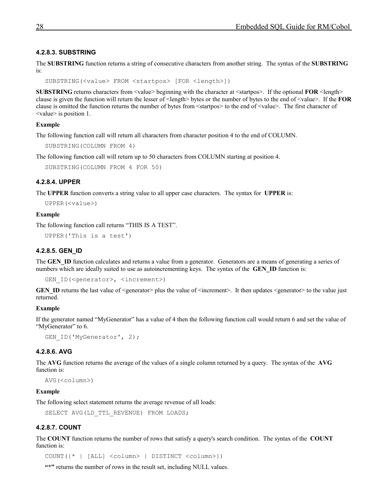#### <span id="page-27-4"></span>**4.2.8.3. SUBSTRING**

The **SUBSTRING** function returns a string of consecutive characters from another string. The syntax of the **SUBSTRING** is:

SUBSTRING(<value> FROM <startpos> [FOR <length>])

**SUBSTRING** returns characters from  $\langle$ value $\rangle$  beginning with the character at  $\langle$ startpos $\rangle$ . If the optional **FOR**  $\langle$ length $\rangle$ clause is given the function will return the lesser of <length> bytes or the number of bytes to the end of <value>. If the **FOR** clause is omitted the function returns the number of bytes from <startpos> to the end of <value>. The first character of <value> is position 1.

#### **Example**

The following function call will return all characters from character position 4 to the end of COLUMN.

```
SUBSTRING(COLUMN FROM 4)
```
The following function call will return up to 50 characters from COLUMN starting at position 4.

```
SUBSTRING(COLUMN FROM 4 FOR 50)
```
#### **4.2.8.4. UPPER**

The **UPPER** function converts a string value to all upper case characters. The syntax for **UPPER** is:

```
UPPER(<value>)
```
#### **Example**

The following function call returns "THIS IS A TEST".

```
UPPER('This is a test')
```
#### **4.2.8.5. GEN\_ID**

The **GEN** ID function calculates and returns a value from a generator. Generators are a means of generating a series of numbers which are ideally suited to use as autoincrementing keys. The syntax of the **GEN ID** function is:

```
GEN ID(<qenerator>, <increment>)
```
**GEN\_ID** returns the last value of  $\leq$ generator $>$  plus the value of  $\leq$ increment $\geq$ . It then updates  $\leq$ generator $\geq$  to the value just returned.

#### **Example**

If the generator named "MyGenerator" has a value of 4 then the following function call would return 6 and set the value of "MyGenerator" to 6.

```
GEN ID('MyGenerator', 2);
```
#### **4.2.8.6. AVG**

The **AVG** function returns the average of the values of a single column returned by a query. The syntax of the **AVG** function is:

AVG(<column>)

#### **Example**

The following select statement returns the average revenue of all loads:

```
SELECT AVG(LD TTL REVENUE) FROM LOADS;
```
#### **4.2.8.7. COUNT**

The **COUNT** function returns the number of rows that satisfy a query's search condition. The syntax of the **COUNT** function is:

COUNT({\* | [ALL] <column> | DISTINCT <column>})

**"\*"** returns the number of rows in the result set, including NULL values.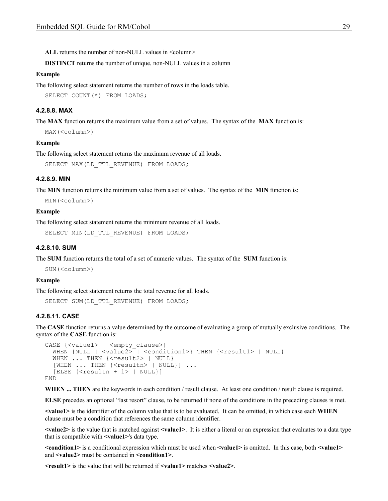ALL returns the number of non-NULL values in <column>

**DISTINCT** returns the number of unique, non-NULL values in a column

#### **Example**

The following select statement returns the number of rows in the loads table.

<span id="page-28-3"></span>SELECT COUNT(\*) FROM LOADS:

#### **4.2.8.8. MAX**

The **MAX** function returns the maximum value from a set of values. The syntax of the **MAX** function is:

MAX(<column>)

#### **Example**

The following select statement returns the maximum revenue of all loads.

<span id="page-28-2"></span>SELECT MAX(LD TTL REVENUE) FROM LOADS;

#### **4.2.8.9. MIN**

The **MIN** function returns the minimum value from a set of values. The syntax of the **MIN** function is:

```
MIN(<column>)
```
#### **Example**

The following select statement returns the minimum revenue of all loads.

```
SELECT MIN(LD_TTL_REVENUE) FROM LOADS;
```
#### **4.2.8.10. SUM**

The **SUM** function returns the total of a set of numeric values. The syntax of the **SUM** function is:

SUM(<column>)

#### **Example**

The following select statement returns the total revenue for all loads.

```
SELECT SUM(LD_TTL_REVENUE) FROM LOADS;
```
#### **4.2.8.11. CASE**

The **CASE** function returns a value determined by the outcome of evaluating a group of mutually exclusive conditions. The syntax of the **CASE** function is:

```
CASE {<value1> | <empty clause>}
 WHEN {NULL | <value2> | <condition1>} THEN {<result1> | NULL}
 WHEN ... THEN {<result2> | NULL}
  [WHEN ... THEN {<resultn> | NULL}] ...
   [ELSE {<resultn + 1> | NULL}]
END
```
WHEN ... THEN are the keywords in each condition / result clause. At least one condition / result clause is required.

**ELSE** precedes an optional "last resort" clause, to be returned if none of the conditions in the preceding clauses is met.

**<value1>** is the identifier of the column value that is to be evaluated. It can be omitted, in which case each **WHEN** clause must be a condition that references the same column identifier.

**<value2>** is the value that is matched against **<value1>**. It is either a literal or an expression that evaluates to a data type that is compatible with **<value1>**'s data type.

**<condition1>** is a conditional expression which must be used when **<value1>** is omitted. In this case, both **<value1>** and **<value2>** must be contained in **<condition1>**.

**<result1>** is the value that will be returned if **<value1>** matches **<value2>**.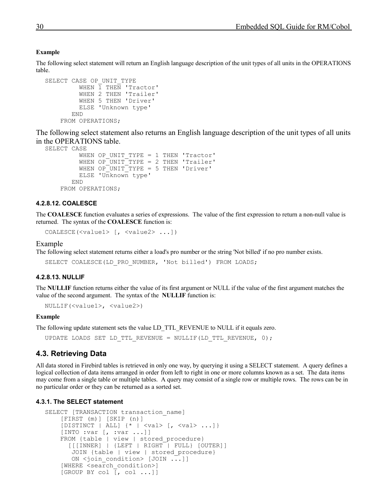#### **Example**

The following select statement will return an English language description of the unit types of all units in the OPERATIONS table.

```
SELECT CASE OP UNIT TYPE
          WHEN \overline{1} THEN 'Tractor'
           WHEN 2 THEN 'Trailer'
           WHEN 5 THEN 'Driver'
           ELSE 'Unknown type'
         END
     FROM OPERATIONS;
```
The following select statement also returns an English language description of the unit types of all units in the OPERATIONS table.

```
SELECT CASE 
         WHEN OP UNIT TYPE = 1 THEN 'Tractor'
         WHEN OP UNIT TYPE = 2 THEN 'Trailer'
         WHEN OP UNIT TYPE = 5 THEN 'Driver'
          ELSE 'Unknown type'
        END
     FROM OPERATIONS;
```
#### <span id="page-29-3"></span>**4.2.8.12. COALESCE**

The **COALESCE** function evaluates a series of expressions. The value of the first expression to return a non-null value is returned. The syntax of the **COALESCE** function is:

COALESCE(<value1> [, <value2> ...])

#### Example

The following select statement returns either a load's pro number or the string 'Not billed' if no pro number exists.

<span id="page-29-2"></span>SELECT COALESCE(LD PRO NUMBER, 'Not billed') FROM LOADS;

#### **4.2.8.13. NULLIF**

The **NULLIF** function returns either the value of its first argument or NULL if the value of the first argument matches the value of the second argument. The syntax of the **NULLIF** function is:

NULLIF(<value1>, <value2>)

#### **Example**

The following update statement sets the value LD\_TTL\_REVENUE to NULL if it equals zero.

UPDATE LOADS SET LD\_TTL\_REVENUE = NULLIF(LD\_TTL\_REVENUE, 0);

#### <span id="page-29-1"></span>**4.3. Retrieving Data**

All data stored in Firebird tables is retrieved in only one way, by querying it using a SELECT statement. A query defines a logical collection of data items arranged in order from left to right in one or more columns known as a set. The data items may come from a single table or multiple tables. A query may consist of a single row or multiple rows. The rows can be in no particular order or they can be returned as a sorted set.

#### **4.3.1. The SELECT statement**

```
SELECT [TRANSACTION transaction name]
     [FIRST (m)] [SKIP (n)]
    [DISTINCT | ALL] \{\star \mid \langle val \rangle [\cdot, \langle val \rangle \dots] \} [INTO :var [, :var ...]]
    FROM {table | view | stored procedure}
        [[[INNER] | {LEFT | RIGHT | FULL} [OUTER]]
        JOIN {table | view | stored_procedure}
       ON <join condition> [JOIN ...]]
     [WHERE <search_condition>]
    [GROUP BY col[, col...]
```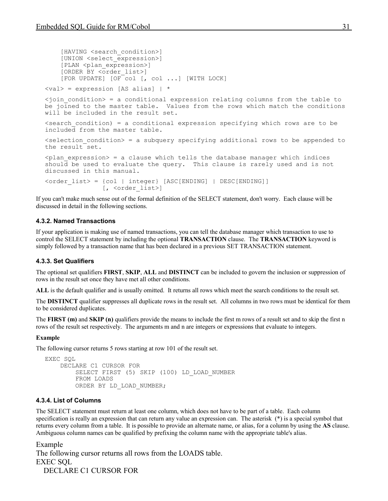```
[HAVING <search_condition>]
     [UNION <select_expression>]
    [PLAN <plan expression>]
     [ORDER BY <order_list>]
     [FOR UPDATE] [OF col [, col ...] [WITH LOCK]
\langle \text{val}\rangle = expression [AS alias] | *
\lejoin condition> = a conditional expression relating columns from the table to
be joined to the master table. Values from the rows which match the conditions
will be included in the result set.
\epsilonsearch condition) = a conditional expression specifying which rows are to be
included from the master table.
\leqselection condition> = a subquery specifying additional rows to be appended to
the result set.
\phi <plan expression> = a clause which tells the database manager which indices
should be used to evaluate the query. This clause is rarely used and is not
discussed in this manual.
<order_list> = {col | integer} [ASC[ENDING] | DESC[ENDING]]
                [, <order list>]
```
If you can't make much sense out of the formal definition of the SELECT statement, don't worry. Each clause will be discussed in detail in the following sections.

### <span id="page-30-2"></span>**4.3.2. Named Transactions**

If your application is making use of named transactions, you can tell the database manager which transaction to use to control the SELECT statement by including the optional **TRANSACTION** clause. The **TRANSACTION** keyword is simply followed by a transaction name that has been declared in a previous SET TRANSACTION statement.

#### <span id="page-30-1"></span>**4.3.3. Set Qualifiers**

The optional set qualifiers **FIRST**, **SKIP**, **ALL** and **DISTINCT** can be included to govern the inclusion or suppression of rows in the result set once they have met all other conditions.

**ALL** is the default qualifier and is usually omitted. It returns all rows which meet the search conditions to the result set.

The **DISTINCT** qualifier suppresses all duplicate rows in the result set. All columns in two rows must be identical for them to be considered duplicates.

The **FIRST (m)** and **SKIP (n)** qualifiers provide the means to include the first m rows of a result set and to skip the first n rows of the result set respectively. The arguments m and n are integers or expressions that evaluate to integers.

#### **Example**

The following cursor returns 5 rows starting at row 101 of the result set.

```
EXEC SQL
     DECLARE C1 CURSOR FOR
         SELECT FIRST (5) SKIP (100) LD_LOAD_NUMBER
         FROM LOADS
        ORDER BY LD LOAD NUMBER;
```
#### <span id="page-30-0"></span>**4.3.4. List of Columns**

The SELECT statement must return at least one column, which does not have to be part of a table. Each column specification is really an expression that can return any value an expression can. The asterisk (\*) is a special symbol that returns every column from a table. It is possible to provide an alternate name, or alias, for a column by using the **AS** clause. Ambiguous column names can be qualified by prefixing the column name with the appropriate table's alias.

Example The following cursor returns all rows from the LOADS table. EXEC SQL DECLARE C1 CURSOR FOR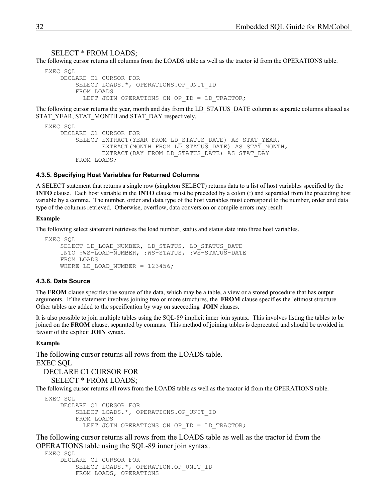#### SELECT \* FROM LOADS;

The following cursor returns all columns from the LOADS table as well as the tractor id from the OPERATIONS table.

```
EXEC SQL
     DECLARE C1 CURSOR FOR
        SELECT LOADS.*, OPERATIONS.OP UNIT ID
         FROM LOADS
          LEFT JOIN OPERATIONS ON OP ID = LD TRACTOR;
```
The following cursor returns the year, month and day from the LD\_STATUS\_DATE column as separate columns aliased as STAT\_YEAR, STAT\_MONTH and STAT\_DAY respectively.

```
EXEC SQL
     DECLARE C1 CURSOR FOR
        SELECT EXTRACT(YEAR FROM LD STATUS DATE) AS STAT YEAR,
                EXTRACT (MONTH FROM L\overline{D} STATUS DATE) AS STAT MONTH,
                 EXTRACT(DAY FROM LD_STATUS_DATE) AS STAT_DAY
         FROM LOADS;
```
#### <span id="page-31-1"></span>**4.3.5. Specifying Host Variables for Returned Columns**

A SELECT statement that returns a single row (singleton SELECT) returns data to a list of host variables specified by the **INTO** clause. Each host variable in the **INTO** clause must be preceded by a colon (:) and separated from the preceding host variable by a comma. The number, order and data type of the host variables must correspond to the number, order and data type of the columns retrieved. Otherwise, overflow, data conversion or compile errors may result.

#### **Example**

The following select statement retrieves the load number, status and status date into three host variables.

```
EXEC SOL
    SELECT LD LOAD NUMBER, LD STATUS, LD STATUS DATE
     INTO :WS-LOAD-NUMBER, :WS-STATUS, :WS-STATUS-DATE
     FROM LOADS
    WHERE LD LOAD NUMBER = 123456;
```
#### <span id="page-31-0"></span>**4.3.6. Data Source**

The **FROM** clause specifies the source of the data, which may be a table, a view or a stored procedure that has output arguments. If the statement involves joining two or more structures, the **FROM** clause specifies the leftmost structure. Other tables are added to the specification by way on succeeding **JOIN** clauses.

It is also possible to join multiple tables using the SQL-89 implicit inner join syntax. This involves listing the tables to be joined on the **FROM** clause, separated by commas. This method of joining tables is deprecated and should be avoided in favour of the explicit **JOIN** syntax.

#### **Example**

The following cursor returns all rows from the LOADS table. EXEC SQL DECLARE C1 CURSOR FOR SELECT \* FROM LOADS; The following cursor returns all rows from the LOADS table as well as the tractor id from the OPERATIONS table.

```
EXEC SQL
     DECLARE C1 CURSOR FOR
        SELECT LOADS.*, OPERATIONS.OP UNIT ID
         FROM LOADS
          LEFT JOIN OPERATIONS ON OP ID = LD TRACTOR;
```
The following cursor returns all rows from the LOADS table as well as the tractor id from the OPERATIONS table using the SQL-89 inner join syntax.

```
EXEC SQL
     DECLARE C1 CURSOR FOR
        SELECT LOADS.*, OPERATION.OP UNIT ID
         FROM LOADS, OPERATIONS
```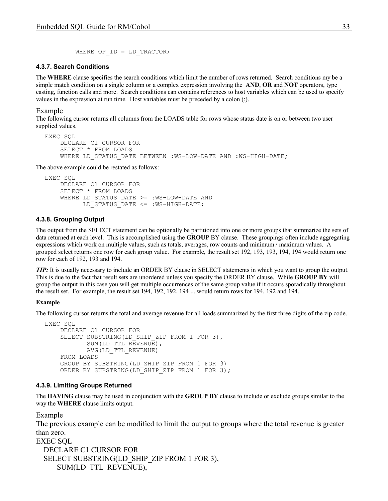```
WHERE OP ID = LD TRACTOR;
```
#### <span id="page-32-2"></span>**4.3.7. Search Conditions**

The **WHERE** clause specifies the search conditions which limit the number of rows returned. Search conditions my be a simple match condition on a single column or a complex expression involving the **AND**, **OR** and **NOT** operators, type casting, function calls and more. Search conditions can contains references to host variables which can be used to specify values in the expression at run time. Host variables must be preceded by a colon (:).

#### Example

The following cursor returns all columns from the LOADS table for rows whose status date is on or between two user supplied values.

```
EXEC SQL
     DECLARE C1 CURSOR FOR
     SELECT * FROM LOADS
    WHERE LD STATUS DATE BETWEEN : WS-LOW-DATE AND : WS-HIGH-DATE;
```
The above example could be restated as follows:

```
EXEC SQL
     DECLARE C1 CURSOR FOR
     SELECT * FROM LOADS
    WHERE LD STATUS DATE >= :WS-LOW-DATE AND
           LD_STATUS_DATE <= :WS-HIGH-DATE;
```
#### <span id="page-32-1"></span>**4.3.8. Grouping Output**

The output from the SELECT statement can be optionally be partitioned into one or more groups that summarize the sets of data returned at each level. This is accomplished using the **GROUP** BY clause. These groupings often include aggregating expressions which work on multiple values, such as totals, averages, row counts and minimum / maximum values. A grouped select returns one row for each group value. For example, the result set 192, 193, 193, 194, 194 would return one row for each of 192, 193 and 194.

*TIP*: It is usually necessary to include an ORDER BY clause in SELECT statements in which you want to group the output. This is due to the fact that result sets are unordered unless you specify the ORDER BY clause. While **GROUP BY** will group the output in this case you will get multiple occurrences of the same group value if it occurs sporadically throughout the result set. For example, the result set 194, 192, 192, 194 ... would return rows for 194, 192 and 194.

#### **Example**

The following cursor returns the total and average revenue for all loads summarized by the first three digits of the zip code.

```
EXEC SQL
     DECLARE C1 CURSOR FOR 
    SELECT SUBSTRING(LD SHIP ZIP FROM 1 FOR 3),
           SUM(LD_TTL_REVENUE),
            AVG(LD_TTL_REVENUE)
     FROM LOADS
     GROUP BY SUBSTRING(LD_ZHIP_ZIP FROM 1 FOR 3)
    ORDER BY SUBSTRING(LD SHIP ZIP FROM 1 FOR 3);
```
#### <span id="page-32-0"></span>**4.3.9. Limiting Groups Returned**

The **HAVING** clause may be used in conjunction with the **GROUP BY** clause to include or exclude groups similar to the way the **WHERE** clause limits output.

Example

The previous example can be modified to limit the output to groups where the total revenue is greater than zero.

```
EXEC SQL
  DECLARE C1 CURSOR FOR
 SELECT SUBSTRING(LD SHIP ZIP FROM 1 FOR 3),
     SUM(LD_TTL_REVENUE),
```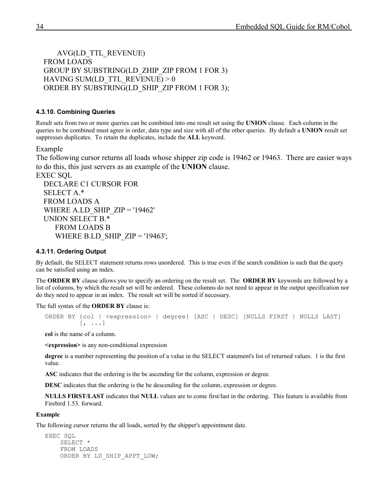AVG(LD\_TTL\_REVENUE) FROM LOADS GROUP BY SUBSTRING(LD\_ZHIP\_ZIP FROM 1 FOR 3) HAVING SUM(LD\_TTL\_REVENUE)  $> 0$ ORDER BY SUBSTRING(LD\_SHIP\_ZIP FROM 1 FOR 3);

#### <span id="page-33-1"></span>**4.3.10. Combining Queries**

Result sets from two or more queries can be combined into one result set using the **UNION** clause. Each column in the queries to be combined must agree in order, data type and size with all of the other queries. By default a **UNION** result set suppresses duplicates. To retain the duplicates, include the **ALL** keyword.

Example

The following cursor returns all loads whose shipper zip code is 19462 or 19463. There are easier ways to do this, this just servers as an example of the **UNION** clause.

EXEC SQL DECLARE C1 CURSOR FOR SELECT A<sup>\*</sup> FROM LOADS A WHERE A.LD\_SHIP\_ZIP = '19462' UNION SELECT B.\* FROM LOADS B WHERE B.LD SHIP  $ZIP = '19463'$ ;

#### <span id="page-33-0"></span>**4.3.11. Ordering Output**

By default, the SELECT statement returns rows unordered. This is true even if the search condition is such that the query can be satisfied using an index.

The **ORDER BY** clause allows you to specify an ordering on the result set. The **ORDER BY** keywords are followed by a list of columns, by which the result set will be ordered. These columns do not need to appear in the output specification nor do they need to appear in an index. The result set will be sorted if necessary.

The full syntax of the **ORDER BY** clause is:

```
ORDER BY {col | <expression> | degree} [ASC | DESC] [NULLS FIRST | NULLS LAST]
               \left[ \begin{array}{ccc} \cdot & \cdot & \cdot \end{array} \right]
```
**col** is the name of a column.

**<expression>** is any non-conditional expression

**degree** is a number representing the position of a value in the SELECT statement's list of returned values. 1 is the first value.

**ASC** indicates that the ordering is the be ascending for the column, expression or degree.

**DESC** indicates that the ordering is the be descending for the column, expression or degree.

**NULLS FIRST/LAST** indicates that **NULL** values are to come first/last in the ordering. This feature is available from Firebird 1.53. forward.

#### **Example**

The following cursor returns the all loads, sorted by the shipper's appointment date.

```
EXEC SQL
     SELECT *
     FROM LOADS
     ORDER BY LD_SHIP_APPT_LOW;
```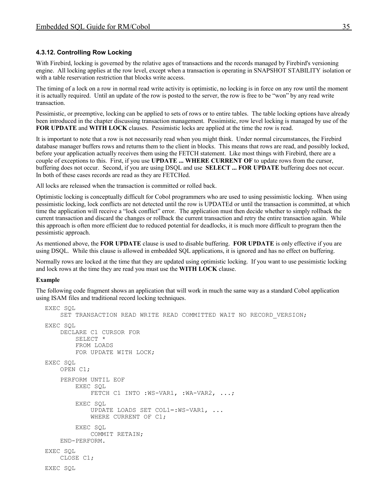### <span id="page-34-0"></span>**4.3.12. Controlling Row Locking**

With Firebird, locking is governed by the relative ages of transactions and the records managed by Firebird's versioning engine. All locking applies at the row level, except when a transaction is operating in SNAPSHOT STABILITY isolation or with a table reservation restriction that blocks write access.

The timing of a lock on a row in normal read write activity is optimistic, no locking is in force on any row until the moment it is actually required. Until an update of the row is posted to the server, the row is free to be "won" by any read write transaction.

Pessimistic, or preemptive, locking can be applied to sets of rows or to entire tables. The table locking options have already been introduced in the chapter discussing transaction management. Pessimistic, row level locking is managed by use of the **FOR UPDATE** and **WITH LOCK** clauses. Pessimistic locks are applied at the time the row is read.

It is important to note that a row is not necessarily read when you might think. Under normal circumstances, the Firebird database manager buffers rows and returns them to the client in blocks. This means that rows are read, and possibly locked, before your application actually receives them using the FETCH statement. Like most things with Firebird, there are a couple of exceptions to this. First, if you use **UPDATE ... WHERE CURRENT OF** to update rows from the cursor, buffering does not occur. Second, if you are using DSQL and use **SELECT ... FOR UPDATE** buffering does not occur. In both of these cases records are read as they are FETCHed.

All locks are released when the transaction is committed or rolled back.

Optimistic locking is conceptually difficult for Cobol programmers who are used to using pessimistic locking. When using pessimistic locking, lock conflicts are not detected until the row is UPDATEd or until the transaction is committed, at which time the application will receive a "lock conflict" error. The application must then decide whether to simply rollback the current transaction and discard the changes or rollback the current transaction and retry the entire transaction again. While this approach is often more efficient due to reduced potential for deadlocks, it is much more difficult to program then the pessimistic approach.

As mentioned above, the **FOR UPDATE** clause is used to disable buffering. **FOR UPDATE** is only effective if you are using DSQL. While this clause is allowed in embedded SQL applications, it is ignored and has no effect on buffering.

Normally rows are locked at the time that they are updated using optimistic locking. If you want to use pessimistic locking and lock rows at the time they are read you must use the **WITH LOCK** clause.

#### **Example**

The following code fragment shows an application that will work in much the same way as a standard Cobol application using ISAM files and traditional record locking techniques.

```
EXEC SOL
    SET TRANSACTION READ WRITE READ COMMITTED WAIT NO RECORD VERSION;
EXEC SOL
     DECLARE C1 CURSOR FOR
         SELECT *
         FROM LOADS
         FOR UPDATE WITH LOCK;
EXEC SQL
     OPEN C1;
     PERFORM UNTIL EOF
         EXEC SQL
            FETCH C1 INTO :WS-VAR1, :WA-VAR2, ...;
         EXEC SQL
             UPDATE LOADS SET COL1=:WS-VAR1, ...
             WHERE CURRENT OF C1;
         EXEC SQL
             COMMIT RETAIN;
     END-PERFORM.
EXEC SQL
     CLOSE C1;
EXEC SQL
```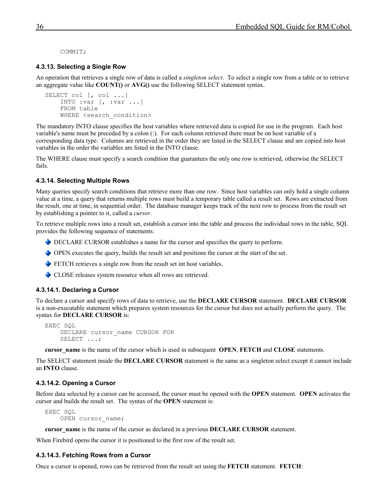<span id="page-35-4"></span>COMMIT;

#### **4.3.13. Selecting a Single Row**

An operation that retrieves a single row of data is called a *singleton select*. To select a single row from a table or to retrieve an aggregate value like **COUNT()** or **AVG()** use the following SELECT statement syntax.

```
SELECT col [, col ...]
     INTO :var [, :var ...]
     FROM table
    WHERE <search condition>
```
The mandatory INTO clause specifies the host variables where retrieved data is copied for use in the program. Each host variable's name must be preceded by a colon (:). For each column retrieved there must be on host variable of a corresponding data type. Columns are retrieved in the order they are listed in the SELECT clause and are copied into host variables in the order the variables are listed in the INTO clause.

The WHERE clause must specify a search condition that guarantees the only one row is retrieved, otherwise the SELECT fails.

#### <span id="page-35-3"></span>**4.3.14. Selecting Multiple Rows**

Many queries specify search conditions that retrieve more than one row. Since host variables can only hold a single column value at a time, a query that returns multiple rows must build a temporary table called a result set. Rows are extracted from the result, one at time, in sequential order. The database manager keeps track of the next row to process from the result set by establishing a pointer to it, called a *cursor*.

To retrieve multiple rows into a result set, establish a cursor into the table and process the individual rows in the table, SQL provides the following sequence of statements:

- DECLARE CURSOR establishes a name for the cursor and specifies the query to perform.
- OPEN executes the query, builds the result set and positions the cursor at the start of the set.
- FETCH retrieves a single row from the result set int host variables.
- <span id="page-35-2"></span>CLOSE releases system resource when all rows are retrieved.

#### **4.3.14.1. Declaring a Cursor**

To declare a cursor and specify rows of data to retrieve, use the **DECLARE CURSOR** statement. **DECLARE CURSOR** is a non-executable statement which prepares system resources for the cursor but does not actually perform the query. The syntax for **DECLARE CURSOR** is:

```
EXEC SOL
    DECLARE cursor name CURSOR FOR
     SELECT ...;
```
**cursor\_name** is the name of the cursor which is used in subsequent **OPEN**, **FETCH** and **CLOSE** statements.

The SELECT statement inside the **DECLARE CURSOR** statement is the same as a singleton select except it cannot include an **INTO** clause.

#### <span id="page-35-1"></span>**4.3.14.2. Opening a Cursor**

Before data selected by a cursor can be accessed, the cursor must be opened with the **OPEN** statement. **OPEN** activates the cursor and builds the result set. The syntax of the **OPEN** statement is:

EXEC SQL OPEN cursor name;

**cursor** name is the name of the cursor as declared in a previous **DECLARE CURSOR** statement.

When Firebird opens the cursor it is positioned to the first row of the result set.

#### <span id="page-35-0"></span>**4.3.14.3. Fetching Rows from a Cursor**

Once a cursor is opened, rows can be retrieved from the result set using the **FETCH** statement. **FETCH**: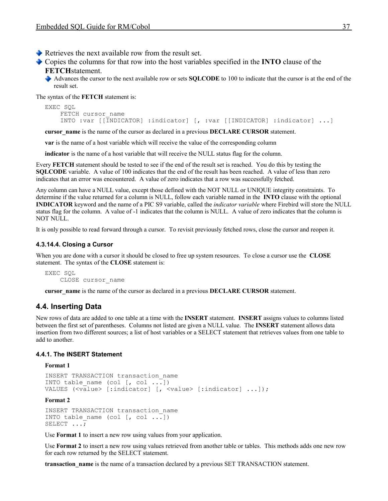$\blacktriangleright$  Retrieves the next available row from the result set.

Copies the columns for that row into the host variables specified in the **INTO** clause of the **FETCH**statement.

Advances the cursor to the next available row or sets **SQLCODE** to 100 to indicate that the cursor is at the end of the result set.

The syntax of the **FETCH** statement is:

```
EXEC SQL
   FETCH cursor name
    INTO :var [[INDICATOR] :indicator] [, :var [[INDICATOR] :indicator] ...]
```
**cursor** name is the name of the cursor as declared in a previous **DECLARE CURSOR** statement.

**var** is the name of a host variable which will receive the value of the corresponding column

**indicator** is the name of a host variable that will receive the NULL status flag for the column.

Every **FETCH** statement should be tested to see if the end of the result set is reached. You do this by testing the **SOLCODE** variable. A value of 100 indicates that the end of the result has been reached. A value of less than zero indicates that an error was encountered. A value of zero indicates that a row was successfully fetched.

Any column can have a NULL value, except those defined with the NOT NULL or UNIQUE integrity constraints. To determine if the value returned for a column is NULL, follow each variable named in the **INTO** clause with the optional **INDICATOR** keyword and the name of a PIC S9 variable, called the *indicator variable* where Firebird will store the NULL status flag for the column. A value of -1 indicates that the column is NULL. A value of zero indicates that the column is NOT NULL.

It is only possible to read forward through a cursor. To revisit previously fetched rows, close the cursor and reopen it.

#### <span id="page-36-2"></span>**4.3.14.4. Closing a Cursor**

When you are done with a cursor it should be closed to free up system resources. To close a cursor use the **CLOSE** statement. The syntax of the **CLOSE** statement is:

```
EXEC SQL
     CLOSE cursor_name
```
**cursor** name is the name of the cursor as declared in a previous **DECLARE CURSOR** statement.

#### <span id="page-36-1"></span>**4.4. Inserting Data**

New rows of data are added to one table at a time with the **INSERT** statement. **INSERT** assigns values to columns listed between the first set of parentheses. Columns not listed are given a NULL value.The **INSERT** statement allows data insertion from two different sources; a list of host variables or a SELECT statement that retrieves values from one table to add to another.

#### **4.4.1. The INSERT Statement**

#### <span id="page-36-0"></span>**Format 1**

```
INSERT TRANSACTION transaction_name 
INTO table name (col [, col ...))
VALUES (\overline{\text{value}}) [:indicator] [, \langle \text{value} \rangle [:indicator] ...]);
```
#### **Format 2**

```
INSERT TRANSACTION transaction_name 
INTO table name (col [, col \overline{..}])
SELECT \ldots;
```
Use **Format 1** to insert a new row using values from your application.

Use **Format 2** to insert a new row using values retrieved from another table or tables. This methods adds one new row for each row returned by the SELECT statement.

**transaction** name is the name of a transaction declared by a previous SET TRANSACTION statement.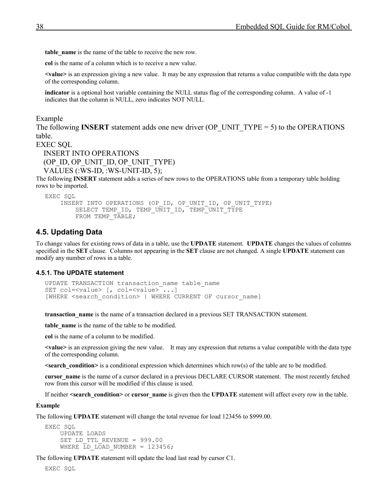**table\_name** is the name of the table to receive the new row.

**col** is the name of a column which is to receive a new value.

**<value>** is an expression giving a new value. It may be any expression that returns a value compatible with the data type of the corresponding column.

**indicator** is a optional host variable containing the NULL status flag of the corresponding column. A value of -1 indicates that the column is NULL, zero indicates NOT NULL.

Example

The following **INSERT** statement adds one new driver (OP\_UNIT\_TYPE = 5) to the OPERATIONS table.

EXEC SQL

 INSERT INTO OPERATIONS (OP\_ID, OP\_UNIT\_ID, OP\_UNIT\_TYPE) VALUES (:WS-ID, :WS-UNIT-ID, 5);

The following **INSERT** statement adds a series of new rows to the OPERATIONS table from a temporary table holding rows to be imported.

```
EXEC SQL
    INSERT INTO OPERATIONS (OP ID, OP UNIT ID, OP UNIT TYPE)
        SELECT TEMP_ID, TEMP_UNIT_ID, TEMP_UNIT TYPE
        FROM TEMP TABLE;
```
#### <span id="page-37-1"></span>**4.5. Updating Data**

To change values for existing rows of data in a table, use the **UPDATE** statement. **UPDATE** changes the values of columns specified in the **SET** clause. Columns not appearing in the **SET** clause are not changed. A single **UPDATE** statement can modify any number of rows in a table.

#### **4.5.1. The UPDATE statement**

```
UPDATE TRANSACTION transaction_name table_name
SET col=\langlevalue> [, col=\langlevalue>\overline{\cdot} \dots]
[WHERE <search condition> | WHERE CURRENT OF cursor name]
```
**transaction name** is the name of a transaction declared in a previous SET TRANSACTION statement.

**table** name is the name of the table to be modified.

**col** is the name of a column to be modified.

**<value>** is an expression giving the new value. It may any expression that returns a value compatible with the data type of the corresponding column.

**<search\_condition>** is a conditional expression which determines which row(s) of the table are to be modified.

**cursor** name is the name of a cursor declared in a previous DECLARE CURSOR statement. The most recently fetched row from this cursor will be modified if this clause is used.

If neither **<search** condition> or cursor name is given then the **UPDATE** statement will affect every row in the table.

#### **Example**

The following **UPDATE** statement will change the total revenue for load 123456 to \$999.00.

```
EXEC SQL
     UPDATE LOADS
    SET LD TTL REVENUE = 999.00
    WHERE LD LOAD NUMBER = 123456;
```
The following **UPDATE** statement will update the load last read by cursor C1.

EXEC SQL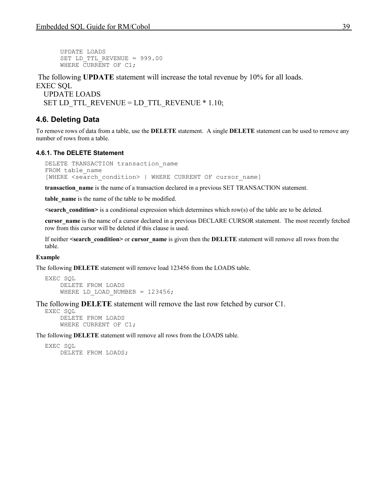UPDATE LOADS SET LD TTL REVENUE = 999.00 WHERE CURRENT OF C1;

The following **UPDATE** statement will increase the total revenue by 10% for all loads.

EXEC SQL UPDATE LOADS SET LD\_TTL\_REVENUE = LD\_TTL\_REVENUE  $*$  1.10;

# <span id="page-38-1"></span>**4.6. Deleting Data**

To remove rows of data from a table, use the **DELETE** statement. A single **DELETE** statement can be used to remove any number of rows from a table.

#### **4.6.1. The DELETE Statement**

```
DELETE TRANSACTION transaction name
FROM table name
[WHERE <search_condition> | WHERE CURRENT OF cursor name]
```
**transaction\_name** is the name of a transaction declared in a previous SET TRANSACTION statement.

**table\_name** is the name of the table to be modified.

**<search\_condition>** is a conditional expression which determines which row(s) of the table are to be deleted.

**cursor** name is the name of a cursor declared in a previous DECLARE CURSOR statement. The most recently fetched row from this cursor will be deleted if this clause is used.

If neither **<search\_condition>** or **cursor\_name** is given then the **DELETE** statement will remove all rows from the table.

#### **Example**

The following **DELETE** statement will remove load 123456 from the LOADS table.

```
EXEC SQL
     DELETE FROM LOADS
    WHERE LD LOAD NUMBER = 123456;
```
The following **DELETE** statement will remove the last row fetched by cursor C1.

EXEC SQL DELETE FROM LOADS WHERE CURRENT OF C1;

The following **DELETE** statement will remove all rows from the LOADS table.

```
EXEC SQL
     DELETE FROM LOADS;
```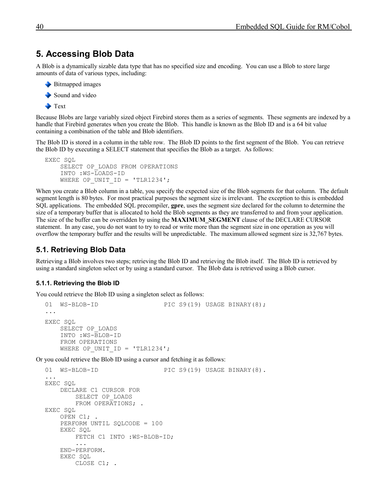# <span id="page-39-2"></span>**5. Accessing Blob Data**

A Blob is a dynamically sizable data type that has no specified size and encoding. You can use a Blob to store large amounts of data of various types, including:

```
Bitmapped images
```

```
Sound and video
```

```
Text
```
Because Blobs are large variably sized object Firebird stores them as a series of segments. These segments are indexed by a handle that Firebird generates when you create the Blob. This handle is known as the Blob ID and is a 64 bit value containing a combination of the table and Blob identifiers.

The Blob ID is stored in a column in the table row. The Blob ID points to the first segment of the Blob. You can retrieve the Blob ID by executing a SELECT statement that specifies the Blob as a target. As follows:

```
EXEC SQL
     SELECT OP_LOADS FROM OPERATIONS
     INTO :WS-LOADS-ID
    WHERE OP UNIT ID = 'TLR1234';
```
When you create a Blob column in a table, you specify the expected size of the Blob segments for that column. The default segment length is 80 bytes. For most practical purposes the segment size is irrelevant. The exception to this is embedded SQL applications. The embedded SQL precompiler, **gpre**, uses the segment size declared for the column to determine the size of a temporary buffer that is allocated to hold the Blob segments as they are transferred to and from your application. The size of the buffer can be overridden by using the **MAXIMUM\_SEGMENT** clause of the DECLARE CURSOR statement. In any case, you do not want to try to read or write more than the segment size in one operation as you will overflow the temporary buffer and the results will be unpredictable. The maximum allowed segment size is 32,767 bytes.

# <span id="page-39-1"></span>**5.1. Retrieving Blob Data**

Retrieving a Blob involves two steps; retrieving the Blob ID and retrieving the Blob itself. The Blob ID is retrieved by using a standard singleton select or by using a standard cursor. The Blob data is retrieved using a Blob cursor.

# <span id="page-39-0"></span>**5.1.1. Retrieving the Blob ID**

You could retrieve the Blob ID using a singleton select as follows:

```
01 WS-BLOB-ID PIC S9(19) USAGE BINARY(8);
...
EXEC SQL
    SELECT OP_LOADS
    INTO :WS-BLOB-ID
    FROM OPERATIONS
   WHERE OP UNIT ID = 'TLR1234';
```
Or you could retrieve the Blob ID using a cursor and fetching it as follows:

```
01 WS-BLOB-ID PIC S9(19) USAGE BINARY(8).
...
EXEC SQL
     DECLARE C1 CURSOR FOR
         SELECT OP_LOADS
        FROM OPERATIONS; .
EXEC SQL
    OPEN C1; .
     PERFORM UNTIL SQLCODE = 100
    EXEC SQL
         FETCH C1 INTO :WS-BLOB-ID;
         ...
     END-PERFORM.
     EXEC SQL
         CLOSE C1; .
```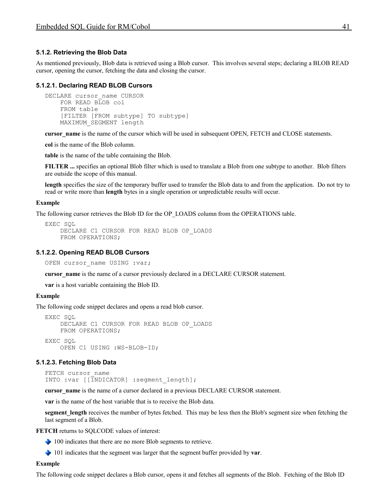#### <span id="page-40-0"></span>**5.1.2. Retrieving the Blob Data**

As mentioned previously, Blob data is retrieved using a Blob cursor. This involves several steps; declaring a BLOB READ cursor, opening the cursor, fetching the data and closing the cursor.

#### **5.1.2.1. Declaring READ BLOB Cursors**

```
DECLARE cursor name CURSOR
   FOR READ BLOB col
    FROM table
     [FILTER [FROM subtype] TO subtype]
    MAXIMUM_SEGMENT length
```
**cursor\_name** is the name of the cursor which will be used in subsequent OPEN, FETCH and CLOSE statements.

**col** is the name of the Blob column.

**table** is the name of the table containing the Blob.

**FILTER ...** specifies an optional Blob filter which is used to translate a Blob from one subtype to another. Blob filters are outside the scope of this manual.

**length** specifies the size of the temporary buffer used to transfer the Blob data to and from the application. Do not try to read or write more than **length** bytes in a single operation or unpredictable results will occur.

#### **Example**

The following cursor retrieves the Blob ID for the OP LOADS column from the OPERATIONS table.

```
EXEC SQL
     DECLARE C1 CURSOR FOR READ BLOB OP_LOADS
     FROM OPERATIONS;
```
#### **5.1.2.2. Opening READ BLOB Cursors**

<span id="page-40-2"></span>OPEN cursor name USING :var;

**cursor\_name** is the name of a cursor previously declared in a DECLARE CURSOR statement.

**var** is a host variable containing the Blob ID.

#### **Example**

The following code snippet declares and opens a read blob cursor.

```
EXEC SQL
     DECLARE C1 CURSOR FOR READ BLOB OP_LOADS
     FROM OPERATIONS;
EXEC SQL
     OPEN C1 USING :WS-BLOB-ID;
```
#### **5.1.2.3. Fetching Blob Data**

<span id="page-40-1"></span>FETCH cursor name INTO :var [[INDICATOR] :segment length];

**cursor** name is the name of a cursor declared in a previous DECLARE CURSOR statement.

**var** is the name of the host variable that is to receive the Blob data.

**segment** length receives the number of bytes fetched. This may be less then the Blob's segment size when fetching the last segment of a Blob.

**FETCH** returns to SQLCODE values of interest:

◆ 100 indicates that there are no more Blob segments to retrieve.

101 indicates that the segment was larger that the segment buffer provided by **var**.

#### **Example**

The following code snippet declares a Blob cursor, opens it and fetches all segments of the Blob. Fetching of the Blob ID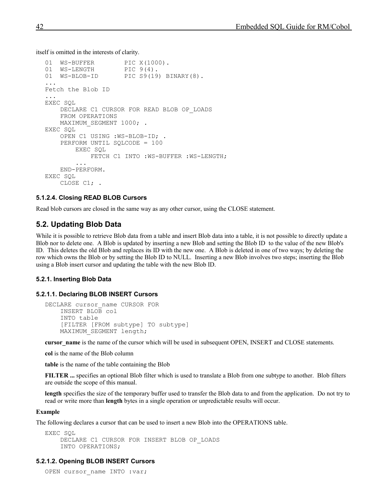itself is omitted in the interests of clarity.

```
01 WS-BUFFER PIC X(1000).<br>01 WS-LENGTH PIC 9(4).
01 WS-LENGTH<br>01 WS-BLOB-ID
                      PIC S9(19) BINARY(8).
...
Fetch the Blob ID
...
EXEC SQL
     DECLARE C1 CURSOR FOR READ BLOB OP_LOADS
     FROM OPERATIONS
    MAXIMUM SEGMENT 1000; .
EXEC SQL
     OPEN C1 USING :WS-BLOB-ID; .
     PERFORM UNTIL SQLCODE = 100
         EXEC SQL
              FETCH C1 INTO :WS-BUFFER :WS-LENGTH;
 ...
     END-PERFORM.
EXEC SQL
     CLOSE C1; .
```
#### <span id="page-41-4"></span>**5.1.2.4. Closing READ BLOB Cursors**

Read blob cursors are closed in the same way as any other cursor, using the CLOSE statement.

#### <span id="page-41-3"></span>**5.2. Updating Blob Data**

While it is possible to retrieve Blob data from a table and insert Blob data into a table, it is not possible to directly update a Blob nor to delete one. A Blob is updated by inserting a new Blob and setting the Blob ID to the value of the new Blob's ID. This deletes the old Blob and replaces its ID with the new one. A Blob is deleted in one of two ways; by deleting the row which owns the Blob or by setting the Blob ID to NULL. Inserting a new Blob involves two steps; inserting the Blob using a Blob insert cursor and updating the table with the new Blob ID.

#### <span id="page-41-2"></span>**5.2.1. Inserting Blob Data**

#### **5.2.1.1. Declaring BLOB INSERT Cursors**

```
DECLARE cursor name CURSOR FOR
     INSERT BLOB col
     INTO table
     [FILTER [FROM subtype] TO subtype]
   MAXIMUM SEGMENT length;
```
**cursor\_name** is the name of the cursor which will be used in subsequent OPEN, INSERT and CLOSE statements.

**col** is the name of the Blob column

**table** is the name of the table containing the Blob

**FILTER ...** specifies an optional Blob filter which is used to translate a Blob from one subtype to another. Blob filters are outside the scope of this manual.

**length** specifies the size of the temporary buffer used to transfer the Blob data to and from the application. Do not try to read or write more than **length** bytes in a single operation or unpredictable results will occur.

#### **Example**

The following declares a cursor that can be used to insert a new Blob into the OPERATIONS table.

```
EXEC SQL
     DECLARE C1 CURSOR FOR INSERT BLOB OP_LOADS
     INTO OPERATIONS;
```
#### **5.2.1.2. Opening BLOB INSERT Cursors**

```
OPEN cursor name INTO :var;
```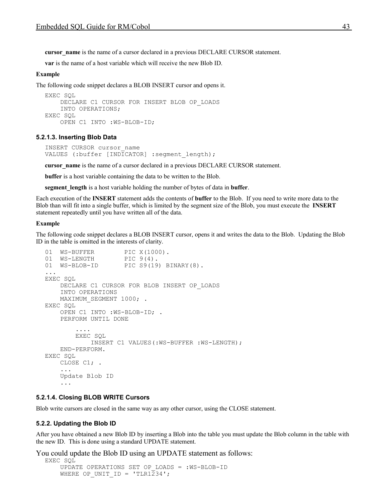**cursor\_name** is the name of a cursor declared in a previous DECLARE CURSOR statement.

**var** is the name of a host variable which will receive the new Blob ID.

#### **Example**

The following code snippet declares a BLOB INSERT cursor and opens it.

```
EXEC SQL
     DECLARE C1 CURSOR FOR INSERT BLOB OP_LOADS
     INTO OPERATIONS;
EXEC SQL
     OPEN C1 INTO :WS-BLOB-ID;
```
#### **5.2.1.3. Inserting Blob Data**

```
INSERT CURSOR cursor_name
VALUES (:buffer [INDICATOR] :segment length);
```
**cursor** name is the name of a cursor declared in a previous DECLARE CURSOR statement.

**buffer** is a host variable containing the data to be written to the Blob.

**segment\_length** is a host variable holding the number of bytes of data in **buffer**.

Each execution of the **INSERT** statement adds the contents of **buffer** to the Blob. If you need to write more data to the Blob than will fit into a single buffer, which is limited by the segment size of the Blob, you must execute the **INSERT** statement repeatedly until you have written all of the data.

#### **Example**

The following code snippet declares a BLOB INSERT cursor, opens it and writes the data to the Blob. Updating the Blob ID in the table is omitted in the interests of clarity.

```
01 WS-BUFFER PIC X(1000).
01 WS-LENGTH PIC 9(4).
01 WS-BLOB-ID PIC S9(19) BINARY(8).
...
EXEC SQL
    DECLARE C1 CURSOR FOR BLOB INSERT OP_LOADS
    INTO OPERATIONS
   MAXIMUM_SEGMENT 1000; .
EXEC SQL
    OPEN C1 INTO :WS-BLOB-ID; .
    PERFORM UNTIL DONE
 ....
       EXEC SOL
            INSERT C1 VALUES(:WS-BUFFER :WS-LENGTH);
    END-PERFORM.
EXEC SQL
   CLOSE C1; .
     ...
    Update Blob ID
     ...
```
#### <span id="page-42-1"></span>**5.2.1.4. Closing BLOB WRITE Cursors**

Blob write cursors are closed in the same way as any other cursor, using the CLOSE statement.

#### <span id="page-42-0"></span>**5.2.2. Updating the Blob ID**

After you have obtained a new Blob ID by inserting a Blob into the table you must update the Blob column in the table with the new ID. This is done using a standard UPDATE statement.

You could update the Blob ID using an UPDATE statement as follows:

```
EXEC SQL
     UPDATE OPERATIONS SET OP_LOADS = :WS-BLOB-ID
    WHERE OP UNIT ID = 'TLR1234';
```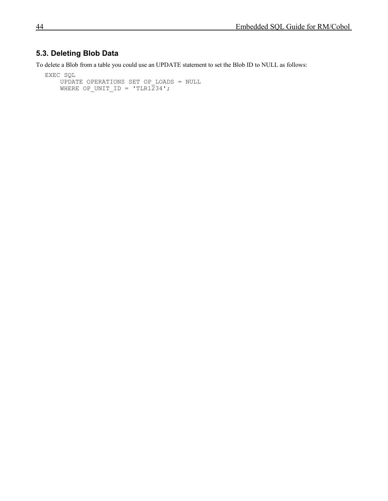# <span id="page-43-0"></span>**5.3. Deleting Blob Data**

To delete a Blob from a table you could use an UPDATE statement to set the Blob ID to NULL as follows:

```
EXEC SQL
     UPDATE OPERATIONS SET OP_LOADS = NULL
    WHERE OP_UNIT_ID = 'TLR1\overline{2}34';
```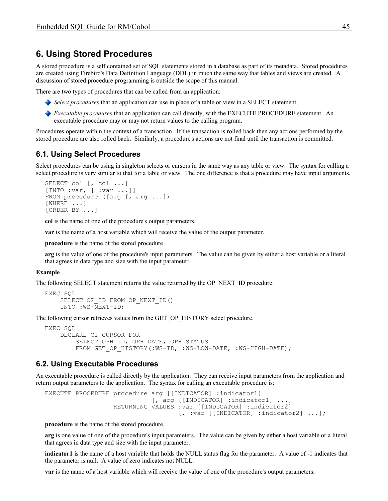# <span id="page-44-2"></span>**6. Using Stored Procedures**

A stored procedure is a self contained set of SQL statements stored in a database as part of its metadata. Stored procedures are created using Firebird's Data Definition Language (DDL) in much the same way that tables and views are created. A discussion of stored procedure programming is outside the scope of this manual.

There are two types of procedures that can be called from an application:

- *Select procedures* that an application can use in place of a table or view in a SELECT statement.
- *Executable procedures* that an application can call directly, with the EXECUTE PROCEDURE statement. An executable procedure may or may not return values to the calling program.

Procedures operate within the context of a transaction. If the transaction is rolled back then any actions performed by the stored procedure are also rolled back. Similarly, a procedure's actions are not final until the transaction is committed.

# <span id="page-44-1"></span>**6.1. Using Select Procedures**

Select procedures can be using in singleton selects or cursors in the same way as any table or view. The syntax for calling a select procedure is very similar to that for a table or view. The one difference is that a procedure may have input arguments.

```
SELECT col [, col ...]
[INTO :var, [ :var ...]]
FROM procedure ([arg [, arg ...])
[WHERE ...]
[ORDER BY ...]
```
**col** is the name of one of the procedure's output parameters.

**var** is the name of a host variable which will receive the value of the output parameter.

**procedure** is the name of the stored procedure

**arg** is the value of one of the procedure's input parameters. The value can be given by either a host variable or a literal that agrees in data type and size with the input parameter.

#### **Example**

The following SELECT statement returns the value returned by the OP\_NEXT\_ID procedure.

```
EXEC SOL
    SELECT OP ID FROM OP NEXT ID()
     INTO :WS-NEXT-ID;
```
The following cursor retrieves values from the GET\_OP\_HISTORY select procedure.

```
EXEC SOL
     DECLARE C1 CURSOR FOR
        SELECT OPH_ID, OPH_DATE, OPH_STATUS
        FROM GET OP HISTORY(:WS-ID, :WS-LOW-DATE, :WS-HIGH-DATE);
```
### <span id="page-44-0"></span>**6.2. Using Executable Procedures**

An executable procedure is called directly by the application. They can receive input parameters from the application and return output parameters to the application. The syntax for calling an executable procedure is:

```
EXECUTE PROCEDURE procedure arg [[INDICATOR] :indicator1]
                            [, arg [[INDICATOR] :indicator1] ...]
                  RETURNING VALUES :var [[INDICATOR] :indicator2]
                                   [, :var [[INDICATOR] :indicator2] ...];
```
**procedure** is the name of the stored procedure.

**arg** is one value of one of the procedure's input parameters. The value can be given by either a host variable or a literal that agrees in data type and size with the input parameter.

**indicator1** is the name of a host variable that holds the NULL status flag for the parameter. A value of -1 indicates that the parameter is null. A value of zero indicates not NULL.

**var** is the name of a host variable which will receive the value of one of the procedure's output parameters.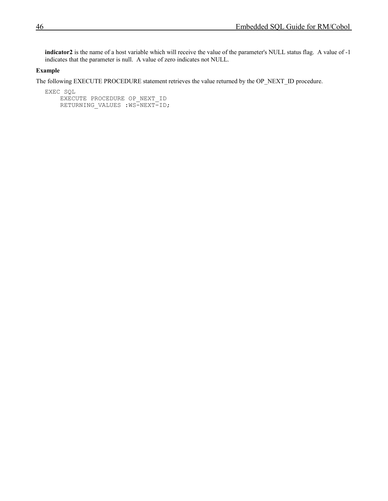**indicator2** is the name of a host variable which will receive the value of the parameter's NULL status flag. A value of -1 indicates that the parameter is null. A value of zero indicates not NULL.

#### **Example**

The following EXECUTE PROCEDURE statement retrieves the value returned by the OP\_NEXT\_ID procedure.

EXEC SQL

EXECUTE PROCEDURE OP NEXT ID RETURNING VALUES : WS-NEXT-ID;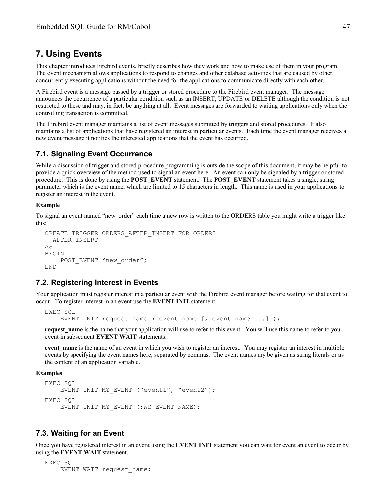# <span id="page-46-3"></span>**7. Using Events**

This chapter introduces Firebird events, briefly describes how they work and how to make use of them in your program. The event mechanism allows applications to respond to changes and other database activities that are caused by other, concurrently executing applications without the need for the applications to communicate directly with each other.

A Firebird event is a message passed by a trigger or stored procedure to the Firebird event manager. The message announces the occurrence of a particular condition such as an INSERT, UPDATE or DELETE although the condition is not restricted to these and may, in fact, be anything at all. Event messages are forwarded to waiting applications only when the controlling transaction is committed.

The Firebird event manager maintains a list of event messages submitted by triggers and stored procedures. It also maintains a list of applications that have registered an interest in particular events. Each time the event manager receives a new event message it notifies the interested applications that the event has occurred.

# <span id="page-46-2"></span>**7.1. Signaling Event Occurrence**

While a discussion of trigger and stored procedure programming is outside the scope of this document, it may be helpful to provide a quick overview of the method used to signal an event here. An event can only be signaled by a trigger or stored procedure. This is done by using the **POST\_EVENT** statement. The **POST\_EVENT** statement takes a single, string parameter which is the event name, which are limited to 15 characters in length. This name is used in your applications to register an interest in the event.

#### **Example**

To signal an event named "new order" each time a new row is written to the ORDERS table you might write a trigger like this:

```
CREATE TRIGGER ORDERS_AFTER_INSERT FOR ORDERS
  AFTER INSERT
AS
BEGIN
    POST EVENT "new order";
END
```
# <span id="page-46-1"></span>**7.2. Registering Interest in Events**

Your application must register interest in a particular event with the Firebird event manager before waiting for that event to occur. To register interest in an event use the **EVENT INIT** statement.

```
EXEC SQL
    EVENT INIT request name ( event name [, event name ...] );
```
**request name** is the name that your application will use to refer to this event. You will use this name to refer to you event in subsequent **EVENT WAIT** statements.

**event name** is the name of an event in which you wish to register an interest. You may register an interest in multiple events by specifying the event names here, separated by commas. The event names my be given as string literals or as the content of an application variable.

#### **Examples**

```
EXEC SQL
   EVENT INIT MY EVENT ("event1", "event2");
EXEC SQL
    EVENT INIT MY EVENT (:WS-EVENT-NAME);
```
# <span id="page-46-0"></span>**7.3. Waiting for an Event**

Once you have registered interest in an event using the **EVENT INIT** statement you can wait for event an event to occur by using the **EVENT WAIT** statement.

```
EXEC SQL
    EVENT WAIT request name;
```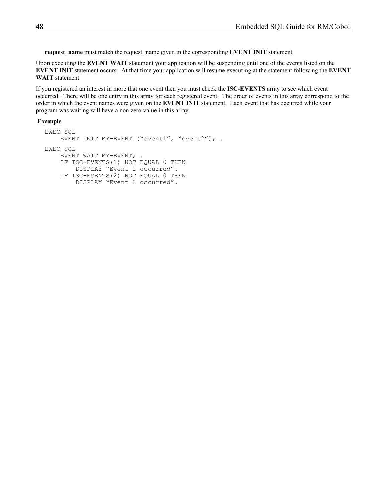**request\_name** must match the request\_name given in the corresponding **EVENT INIT** statement.

Upon executing the **EVENT WAIT** statement your application will be suspending until one of the events listed on the **EVENT INIT** statement occurs. At that time your application will resume executing at the statement following the **EVENT WAIT** statement.

If you registered an interest in more that one event then you must check the **ISC-EVENTS** array to see which event occurred. There will be one entry in this array for each registered event. The order of events in this array correspond to the order in which the event names were given on the **EVENT INIT** statement. Each event that has occurred while your program was waiting will have a non zero value in this array.

#### **Example**

```
EXEC SQL
    EVENT INIT MY-EVENT ("event1", "event2"); .
EXEC SQL
    EVENT WAIT MY-EVENT; .
     IF ISC-EVENTS(1) NOT EQUAL 0 THEN
         DISPLAY "Event 1 occurred".
     IF ISC-EVENTS(2) NOT EQUAL 0 THEN
         DISPLAY "Event 2 occurred".
```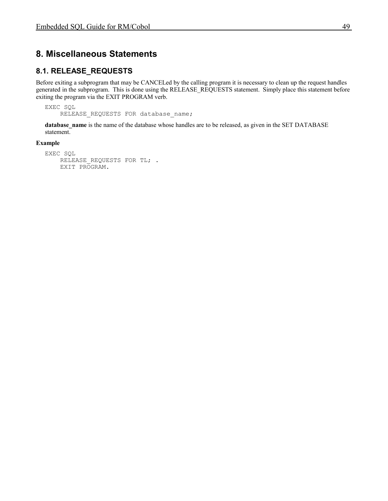# <span id="page-48-1"></span>**8. Miscellaneous Statements**

# <span id="page-48-0"></span>**8.1. RELEASE\_REQUESTS**

Before exiting a subprogram that may be CANCELed by the calling program it is necessary to clean up the request handles generated in the subprogram. This is done using the RELEASE\_REQUESTS statement. Simply place this statement before exiting the program via the EXIT PROGRAM verb.

EXEC SQL RELEASE REQUESTS FOR database name;

**database\_name** is the name of the database whose handles are to be released, as given in the SET DATABASE statement.

#### **Example**

```
EXEC SQL
    RELEASE REQUESTS FOR TL; .
     EXIT PROGRAM.
```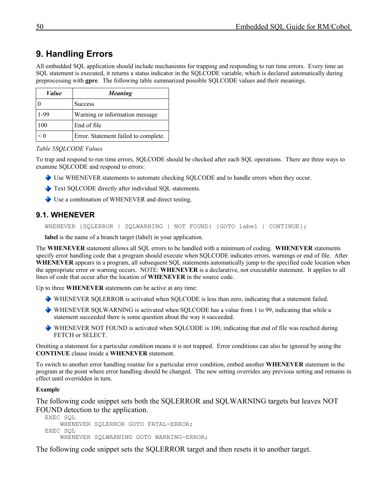# <span id="page-49-1"></span>**9. Handling Errors**

All embedded SQL application should include mechanisms for trapping and responding to run time errors. Every time an SQL statement is executed, it returns a status indicator in the SQLCODE variable, which is declared automatically during preprocessing with **gpre**. The following table summarized possible SQLCODE values and their meanings.

| Value | <b>Meaning</b>                       |  |
|-------|--------------------------------------|--|
|       | <b>Success</b>                       |  |
| 1-99  | Warning or information message       |  |
| 100   | End of file                          |  |
| < 0   | Error. Statement failed to complete. |  |

*Table 5SQLCODE Values*

To trap and respond to run time errors, SQLCODE should be checked after each SQL operations. There are three ways to examine SQLCODE and respond to errors:

- Use WHENEVER statements to automate checking SQLCODE and to handle errors when they occur.
- Text SQLCODE directly after individual SQL statements.
- Use a combination of WHENEVER and direct testing.

# **9.1. WHENEVER**

<span id="page-49-0"></span>WHENEVER {SQLERROR | SQLWARNING | NOT FOUND} {GOTO label | CONTINUE};

**label** is the name of a branch target (label) in your application.

The **WHENEVER** statement allows all SQL errors to be handled with a minimum of coding. **WHENEVER** statements specify error handling code that a program should execute when SQLCODE indicates errors, warnings or end of file. After **WHENEVER** appears in a program, all subsequent SQL statements automatically jump to the specified code location when the appropriate error or warning occurs. NOTE: **WHENEVER** is a declarative, not executable statement. It applies to all lines of code that occur after the location of **WHENEVER** in the source code.

Up to three **WHENEVER** statements can be active at any time:

- WHENEVER SQLERROR is activated when SQLCODE is less than zero, indicating that a statement failed.
- WHENEVER SQLWARNING is activated when SQLCODE has a value from 1 to 99, indicating that while a statement succeeded there is some question about the way it succeeded.
- WHENEVER NOT FOUND is activated when SQLCODE is 100, indicating that end of file was reached during FETCH or SELECT.

Omitting a statement for a particular condition means it is not trapped. Error conditions can also be ignored by using the **CONTINUE** clause inside a **WHENEVER** statement.

To switch to another error handling routine for a particular error condition, embed another **WHENEVER** statement in the program at the point where error handling should be changed. The new setting overrides any previous setting and remains in effect until overridden in turn.

#### **Example**

The following code snippet sets both the SQLERROR and SQLWARNING targets but leaves NOT FOUND detection to the application.

```
EXEC SQL
     WHENEVER SQLERROR GOTO FATAL-ERROR;
EXEC SQL
     WHENEVER SQLWARNING GOTO WARNING-ERROR;
```
The following code snippet sets the SQLERROR target and then resets it to another target.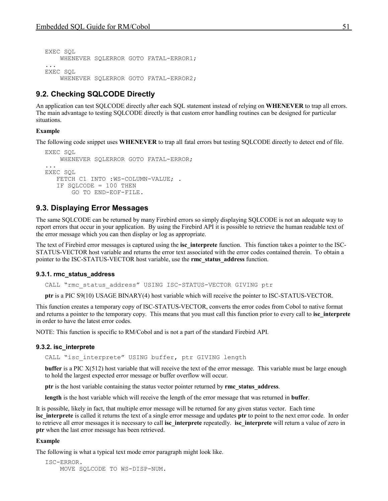```
EXEC SOL
     WHENEVER SQLERROR GOTO FATAL-ERROR1;
...
EXEC SOL
     WHENEVER SQLERROR GOTO FATAL-ERROR2;
```
# <span id="page-50-3"></span>**9.2. Checking SQLCODE Directly**

An application can test SQLCODE directly after each SQL statement instead of relying on **WHENEVER** to trap all errors. The main advantage to testing SQLCODE directly is that custom error handling routines can be designed for particular situations.

#### **Example**

The following code snippet uses **WHENEVER** to trap all fatal errors but testing SQLCODE directly to detect end of file.

```
EXEC SOL
     WHENEVER SQLERROR GOTO FATAL-ERROR;
...
EXEC SQL
   FETCH C1 INTO : WS-COLUMN-VALUE:
    IF SQLCODE = 100 THEN
        GO TO END-EOF-FILE.
```
# <span id="page-50-2"></span>**9.3. Displaying Error Messages**

The same SQLCODE can be returned by many Firebird errors so simply displaying SQLCODE is not an adequate way to report errors that occur in your application. By using the Firebird API it is possible to retrieve the human readable text of the error message which you can then display or log as appropriate.

The text of Firebird error messages is captured using the **isc** interprete function. This function takes a pointer to the ISC-STATUS-VECTOR host variable and returns the error text associated with the error codes contained therein. To obtain a pointer to the ISC-STATUS-VECTOR host variable, use the **rmc\_status\_address** function.

#### **9.3.1. rmc\_status\_address**

<span id="page-50-1"></span>CALL "rmc\_status\_address" USING ISC-STATUS-VECTOR GIVING ptr

**ptr** is a PIC S9(10) USAGE BINARY(4) host variable which will receive the pointer to ISC-STATUS-VECTOR.

This function creates a temporary copy of ISC-STATUS-VECTOR, converts the error codes from Cobol to native format and returns a pointer to the temporary copy. This means that you must call this function prior to every call to **isc** interprete in order to have the latest error codes.

NOTE: This function is specific to RM/Cobol and is not a part of the standard Firebird API.

#### **9.3.2. isc\_interprete**

<span id="page-50-0"></span>CALL "isc interprete" USING buffer, ptr GIVING length

**buffer** is a PIC X(512) host variable that will receive the text of the error message. This variable must be large enough to hold the largest expected error message or buffer overflow will occur.

**ptr** is the host variable containing the status vector pointer returned by **rmc\_status\_address**.

**length** is the host variable which will receive the length of the error message that was returned in **buffer**.

It is possible, likely in fact, that multiple error message will be returned for any given status vector. Each time **isc** interprete is called it returns the text of a single error message and updates ptr to point to the next error code. In order to retrieve all error messages it is necessary to call **isc\_interprete** repeatedly. **isc\_interprete** will return a value of zero in **ptr** when the last error message has been retrieved.

#### **Example**

The following is what a typical text mode error paragraph might look like.

```
ISC-ERROR.
    MOVE SQLCODE TO WS-DISP-NUM.
```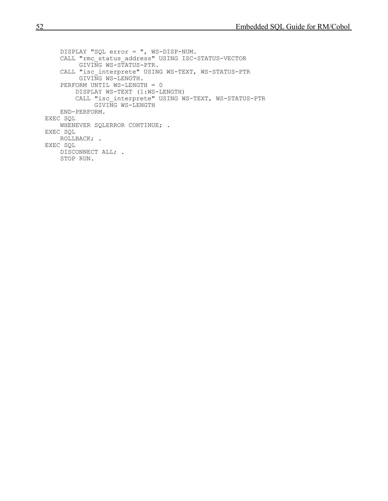```
 DISPLAY "SQL error = ", WS-DISP-NUM.
     CALL "rmc_status_address" USING ISC-STATUS-VECTOR
          GIVING WS-STATUS-PTR.
     CALL "isc_interprete" USING WS-TEXT, WS-STATUS-PTR
          GIVING WS-LENGTH.
     PERFORM UNTIL WS-LENGTH = 0
         DISPLAY WS-TEXT (1:WS-LENGTH) 
         CALL "isc_interprete" USING WS-TEXT, WS-STATUS-PTR
              GIVING WS-LENGTH
     END-PERFORM.
EXEC SQL
    WHENEVER SQLERROR CONTINUE; .
EXEC SQL
     ROLLBACK; .
EXEC SQL
    DISCONNECT ALL; .
     STOP RUN.
```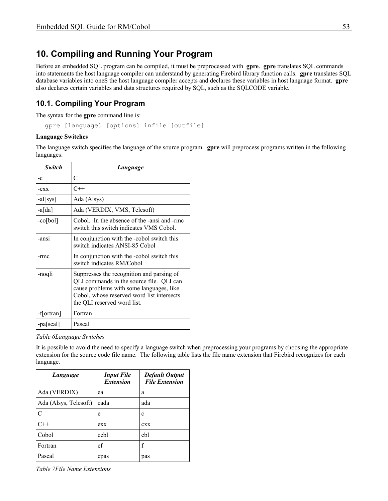# <span id="page-52-1"></span>**10. Compiling and Running Your Program**

Before an embedded SQL program can be compiled, it must be preprocessed with **gpre**. **gpre** translates SQL commands into statements the host language compiler can understand by generating Firebird library function calls. **gpre** translates SQL database variables into oneS the host language compiler accepts and declares these variables in host language format. **gpre** also declares certain variables and data structures required by SQL, such as the SQLCODE variable.

# <span id="page-52-0"></span>**10.1. Compiling Your Program**

The syntax for the **gpre** command line is:

gpre [language] [options] infile [outfile]

#### **Language Switches**

The language switch specifies the language of the source program. **gpre** will preprocess programs written in the following languages:

| Switch     | Language                                                                                                                                                                                                       |
|------------|----------------------------------------------------------------------------------------------------------------------------------------------------------------------------------------------------------------|
| $-c$       | C                                                                                                                                                                                                              |
| $-cxx$     | $C++$                                                                                                                                                                                                          |
| $-al[sys]$ | Ada (Alsys)                                                                                                                                                                                                    |
| $-a[da]$   | Ada (VERDIX, VMS, Telesoft)                                                                                                                                                                                    |
| $-cofbol$  | Cobol. In the absence of the -ansi and -rmc<br>switch this switch indicates VMS Cobol.                                                                                                                         |
| -ansi      | In conjunction with the -cobol switch this<br>switch indicates ANSI-85 Cobol                                                                                                                                   |
| -rmc       | In conjunction with the -cobol switch this<br>switch indicates RM/Cobol                                                                                                                                        |
| -noqli     | Suppresses the recognition and parsing of<br>QLI commands in the source file. QLI can<br>cause problems with some languages, like<br>Cobol, whose reserved word list intersects<br>the QLI reserved word list. |
| -f[ortran] | Fortran                                                                                                                                                                                                        |
| -pa[scal]  | Pascal                                                                                                                                                                                                         |

*Table 6Language Switches*

It is possible to avoid the need to specify a language switch when preprocessing your programs by choosing the appropriate extension for the source code file name. The following table lists the file name extension that Firebird recognizes for each language.

| Language              | <b>Input File</b><br><b>Extension</b> | <b>Default Output</b><br><b>File Extension</b> |
|-----------------------|---------------------------------------|------------------------------------------------|
| Ada (VERDIX)          | ea                                    | a                                              |
| Ada (Alsys, Telesoft) | eada                                  | ada                                            |
| C                     | e                                     | c                                              |
| $C++$                 | exx                                   | <b>CXX</b>                                     |
| Cobol                 | echl                                  | cbl                                            |
| Fortran               | ef                                    | f                                              |
| Pascal                | epas                                  | pas                                            |

*Table 7File Name Extensions*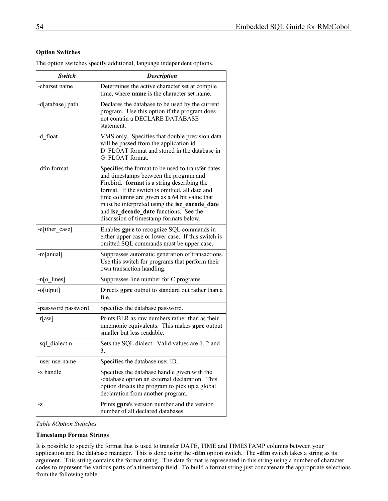### **Option Switches**

The option switches specify additional, language independent options.

| Switch             | <b>Description</b>                                                                                                                                                                                                                                                                                                                                                                 |
|--------------------|------------------------------------------------------------------------------------------------------------------------------------------------------------------------------------------------------------------------------------------------------------------------------------------------------------------------------------------------------------------------------------|
| -charset name      | Determines the active character set at compile<br>time, where <b>name</b> is the character set name.                                                                                                                                                                                                                                                                               |
| -d[atabase] path   | Declares the database to be used by the current<br>program. Use this option if the program does<br>not contain a DECLARE DATABASE<br>statement.                                                                                                                                                                                                                                    |
| -d float           | VMS only. Specifies that double precision data<br>will be passed from the application id<br>D FLOAT format and stored in the database in<br>G FLOAT format.                                                                                                                                                                                                                        |
| -dfm format        | Specifies the format to be used to transfer dates<br>and timestamps between the program and<br>Firebird. format is a string describing the<br>format. If the switch is omitted, all date and<br>time columns are given as a 64 bit value that<br>must be interpreted using the isc_encode_date<br>and isc decode date functions. See the<br>discussion of timestamp formats below. |
| -e[ither_case]     | Enables gpre to recognize SQL commands in<br>either upper case or lower case. If this switch is<br>omitted SQL commands must be upper case.                                                                                                                                                                                                                                        |
| -m[anual]          | Suppresses automatic generation of transactions.<br>Use this switch for programs that perform their<br>own transaction handling.                                                                                                                                                                                                                                                   |
| $-n[0]$ lines]     | Suppresses line number for C programs.                                                                                                                                                                                                                                                                                                                                             |
| -o[utput]          | Directs gpre output to standard out rather than a<br>file.                                                                                                                                                                                                                                                                                                                         |
| -password password | Specifies the database password.                                                                                                                                                                                                                                                                                                                                                   |
| $-r[aw]$           | Prints BLR as raw numbers rather than as their<br>mnemonic equivalents. This makes gpre output<br>smaller but less readable.                                                                                                                                                                                                                                                       |
| -sql dialect n     | Sets the SQL dialect. Valid values are 1, 2 and<br>3.                                                                                                                                                                                                                                                                                                                              |
| -user username     | Specifies the database user ID.                                                                                                                                                                                                                                                                                                                                                    |
| -x handle          | Specifies the database handle given with the<br>-database option an external declaration. This<br>option directs the program to pick up a global<br>declaration from another program.                                                                                                                                                                                              |
| -Z                 | Prints gpre's version number and the version<br>number of all declared databases.                                                                                                                                                                                                                                                                                                  |

*Table 8Option Switches*

#### **Timestamp Format Strings**

It is possible to specify the format that is used to transfer DATE, TIME and TIMESTAMP columns between your application and the database manager. This is done using the **-dfm** option switch. The **-dfm** switch takes a string as its argument. This string contains the format string. The date format is represented in this string using a number of character codes to represent the various parts of a timestamp field. To build a format string just concatenate the appropriate selections from the following table: